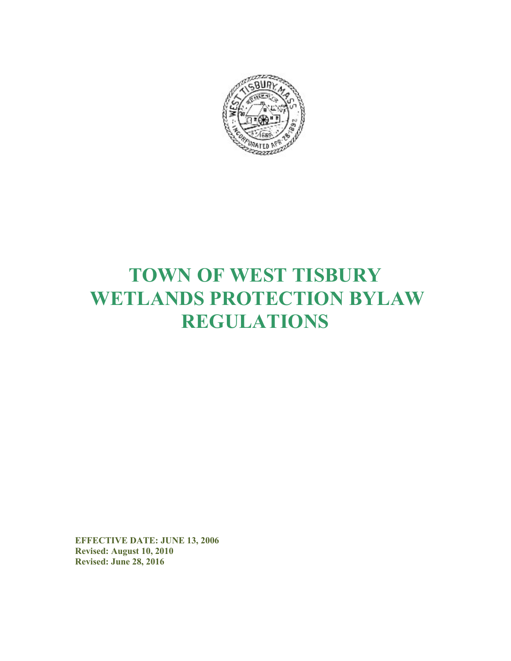

# TOWN OF WEST TISBURY WETLANDS PROTECTION BYLAW REGULATIONS

EFFECTIVE DATE: JUNE 13, 2006 Revised: August 10, 2010 Revised: June 28, 2016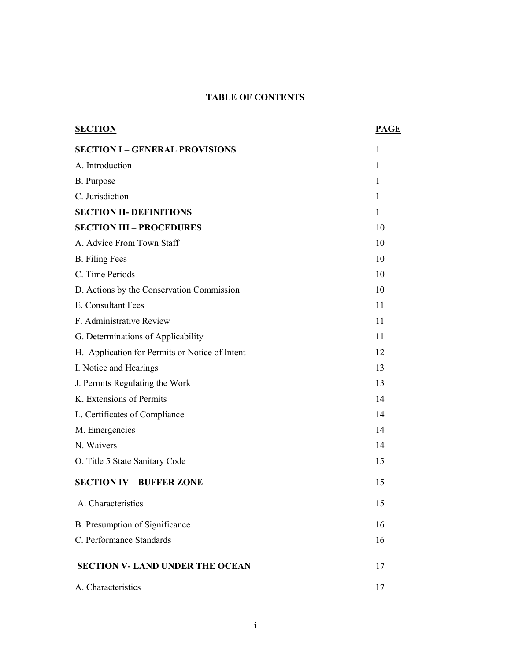# TABLE OF CONTENTS

| <b>SECTION</b>                                 | <b>PAGE</b> |
|------------------------------------------------|-------------|
| <b>SECTION I - GENERAL PROVISIONS</b>          | 1           |
| A. Introduction                                | 1           |
| B. Purpose                                     | 1           |
| C. Jurisdiction                                | 1           |
| <b>SECTION II- DEFINITIONS</b>                 | 1           |
| <b>SECTION III - PROCEDURES</b>                | 10          |
| A. Advice From Town Staff                      | 10          |
| <b>B.</b> Filing Fees                          | 10          |
| C. Time Periods                                | 10          |
| D. Actions by the Conservation Commission      | 10          |
| E. Consultant Fees                             | 11          |
| F. Administrative Review                       | 11          |
| G. Determinations of Applicability             | 11          |
| H. Application for Permits or Notice of Intent | 12          |
| I. Notice and Hearings                         | 13          |
| J. Permits Regulating the Work                 | 13          |
| K. Extensions of Permits                       | 14          |
| L. Certificates of Compliance                  | 14          |
| M. Emergencies                                 | 14          |
| N. Waivers                                     | 14          |
| O. Title 5 State Sanitary Code                 | 15          |
| <b>SECTION IV - BUFFER ZONE</b>                | 15          |
| A. Characteristics                             | 15          |
| B. Presumption of Significance                 | 16          |
| C. Performance Standards                       | 16          |
| <b>SECTION V- LAND UNDER THE OCEAN</b>         | 17          |
| A. Characteristics                             | 17          |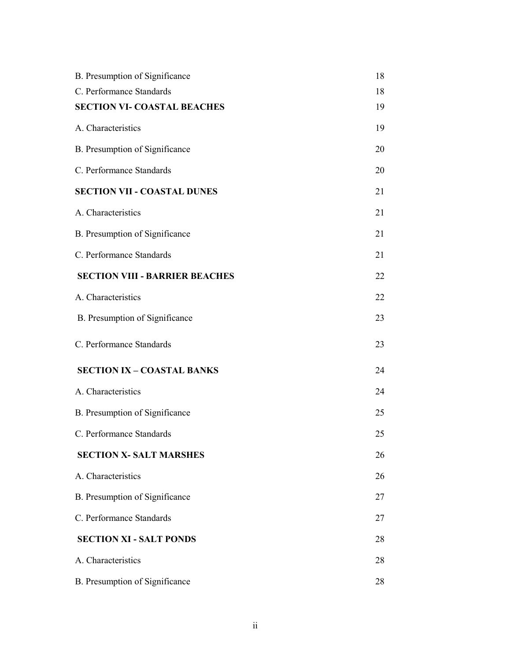| B. Presumption of Significance        | 18 |
|---------------------------------------|----|
| C. Performance Standards              | 18 |
| <b>SECTION VI- COASTAL BEACHES</b>    | 19 |
| A. Characteristics                    | 19 |
| B. Presumption of Significance        | 20 |
| C. Performance Standards              | 20 |
| <b>SECTION VII - COASTAL DUNES</b>    | 21 |
| A. Characteristics                    | 21 |
| B. Presumption of Significance        | 21 |
| C. Performance Standards              | 21 |
| <b>SECTION VIII - BARRIER BEACHES</b> | 22 |
| A. Characteristics                    | 22 |
| B. Presumption of Significance        | 23 |
| C. Performance Standards              | 23 |
| <b>SECTION IX - COASTAL BANKS</b>     | 24 |
| A. Characteristics                    | 24 |
| B. Presumption of Significance        | 25 |
| C. Performance Standards              | 25 |
| <b>SECTION X- SALT MARSHES</b>        | 26 |
| A. Characteristics                    | 26 |
| B. Presumption of Significance        | 27 |
| C. Performance Standards              | 27 |
| <b>SECTION XI - SALT PONDS</b>        | 28 |
| A. Characteristics                    | 28 |
| B. Presumption of Significance        | 28 |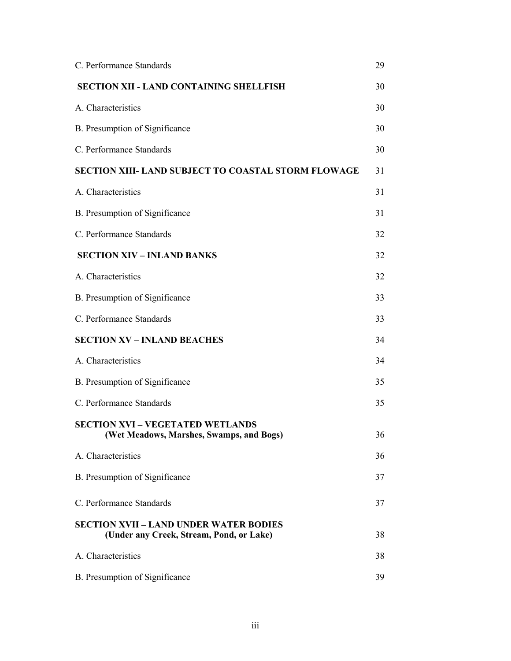| C. Performance Standards                                                                  | 29 |
|-------------------------------------------------------------------------------------------|----|
| <b>SECTION XII - LAND CONTAINING SHELLFISH</b>                                            | 30 |
| A. Characteristics                                                                        | 30 |
| B. Presumption of Significance                                                            | 30 |
| C. Performance Standards                                                                  | 30 |
| <b>SECTION XIII- LAND SUBJECT TO COASTAL STORM FLOWAGE</b>                                | 31 |
| A. Characteristics                                                                        | 31 |
| B. Presumption of Significance                                                            | 31 |
| C. Performance Standards                                                                  | 32 |
| <b>SECTION XIV - INLAND BANKS</b>                                                         | 32 |
| A. Characteristics                                                                        | 32 |
| B. Presumption of Significance                                                            | 33 |
| C. Performance Standards                                                                  | 33 |
| <b>SECTION XV - INLAND BEACHES</b>                                                        | 34 |
| A. Characteristics                                                                        | 34 |
| B. Presumption of Significance                                                            | 35 |
| C. Performance Standards                                                                  | 35 |
| <b>SECTION XVI - VEGETATED WETLANDS</b><br>(Wet Meadows, Marshes, Swamps, and Bogs)       | 36 |
| A. Characteristics                                                                        | 36 |
| B. Presumption of Significance                                                            | 37 |
| C. Performance Standards                                                                  | 37 |
| <b>SECTION XVII - LAND UNDER WATER BODIES</b><br>(Under any Creek, Stream, Pond, or Lake) | 38 |
| A. Characteristics                                                                        | 38 |
| B. Presumption of Significance                                                            | 39 |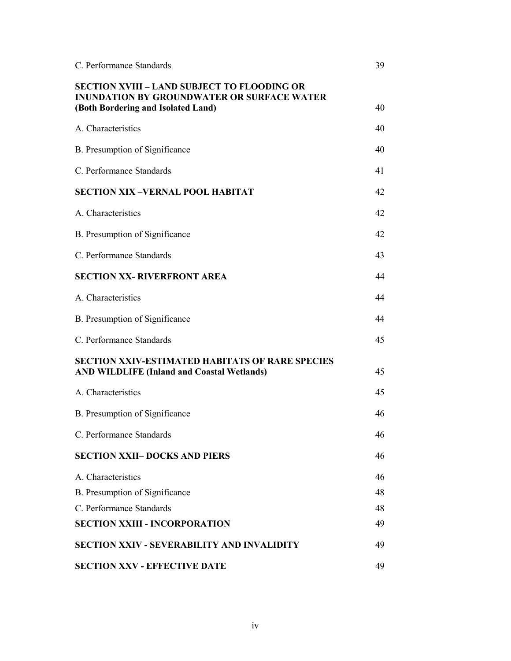| C. Performance Standards                                                                                                                      | 39 |
|-----------------------------------------------------------------------------------------------------------------------------------------------|----|
| <b>SECTION XVIII - LAND SUBJECT TO FLOODING OR</b><br><b>INUNDATION BY GROUNDWATER OR SURFACE WATER</b><br>(Both Bordering and Isolated Land) | 40 |
| A. Characteristics                                                                                                                            | 40 |
| B. Presumption of Significance                                                                                                                | 40 |
| C. Performance Standards                                                                                                                      | 41 |
| <b>SECTION XIX-VERNAL POOL HABITAT</b>                                                                                                        | 42 |
| A. Characteristics                                                                                                                            | 42 |
| B. Presumption of Significance                                                                                                                | 42 |
| C. Performance Standards                                                                                                                      | 43 |
| <b>SECTION XX- RIVERFRONT AREA</b>                                                                                                            | 44 |
| A. Characteristics                                                                                                                            | 44 |
| B. Presumption of Significance                                                                                                                | 44 |
| C. Performance Standards                                                                                                                      | 45 |
| <b>SECTION XXIV-ESTIMATED HABITATS OF RARE SPECIES</b><br><b>AND WILDLIFE (Inland and Coastal Wetlands)</b>                                   | 45 |
| A. Characteristics                                                                                                                            | 45 |
| B. Presumption of Significance                                                                                                                | 46 |
| C. Performance Standards                                                                                                                      | 46 |
| <b>SECTION XXII-DOCKS AND PIERS</b>                                                                                                           | 46 |
| A. Characteristics                                                                                                                            | 46 |
| B. Presumption of Significance                                                                                                                | 48 |
| C. Performance Standards                                                                                                                      | 48 |
| <b>SECTION XXIII - INCORPORATION</b>                                                                                                          | 49 |
| <b>SECTION XXIV - SEVERABILITY AND INVALIDITY</b>                                                                                             | 49 |
| <b>SECTION XXV - EFFECTIVE DATE</b>                                                                                                           | 49 |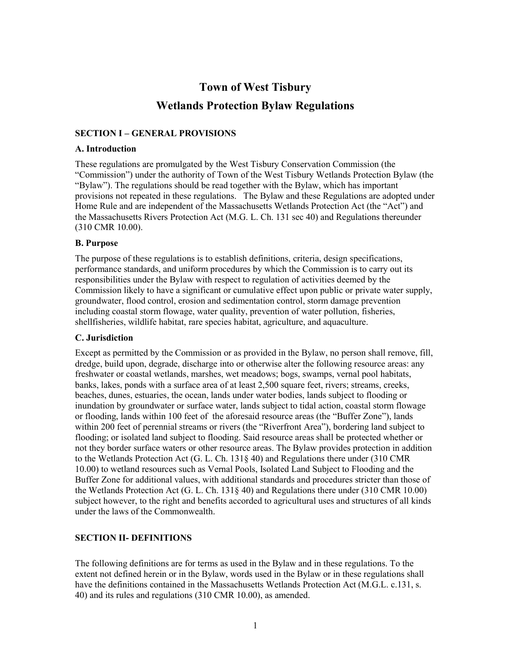# Town of West Tisbury Wetlands Protection Bylaw Regulations

#### SECTION I – GENERAL PROVISIONS

#### A. Introduction

These regulations are promulgated by the West Tisbury Conservation Commission (the "Commission") under the authority of Town of the West Tisbury Wetlands Protection Bylaw (the "Bylaw"). The regulations should be read together with the Bylaw, which has important provisions not repeated in these regulations. The Bylaw and these Regulations are adopted under Home Rule and are independent of the Massachusetts Wetlands Protection Act (the "Act") and the Massachusetts Rivers Protection Act (M.G. L. Ch. 131 sec 40) and Regulations thereunder (310 CMR 10.00).

#### B. Purpose

The purpose of these regulations is to establish definitions, criteria, design specifications, performance standards, and uniform procedures by which the Commission is to carry out its responsibilities under the Bylaw with respect to regulation of activities deemed by the Commission likely to have a significant or cumulative effect upon public or private water supply, groundwater, flood control, erosion and sedimentation control, storm damage prevention including coastal storm flowage, water quality, prevention of water pollution, fisheries, shellfisheries, wildlife habitat, rare species habitat, agriculture, and aquaculture.

#### C. Jurisdiction

Except as permitted by the Commission or as provided in the Bylaw, no person shall remove, fill, dredge, build upon, degrade, discharge into or otherwise alter the following resource areas: any freshwater or coastal wetlands, marshes, wet meadows; bogs, swamps, vernal pool habitats, banks, lakes, ponds with a surface area of at least 2,500 square feet, rivers; streams, creeks, beaches, dunes, estuaries, the ocean, lands under water bodies, lands subject to flooding or inundation by groundwater or surface water, lands subject to tidal action, coastal storm flowage or flooding, lands within 100 feet of the aforesaid resource areas (the "Buffer Zone"), lands within 200 feet of perennial streams or rivers (the "Riverfront Area"), bordering land subject to flooding; or isolated land subject to flooding. Said resource areas shall be protected whether or not they border surface waters or other resource areas. The Bylaw provides protection in addition to the Wetlands Protection Act (G. L. Ch. 131§ 40) and Regulations there under (310 CMR 10.00) to wetland resources such as Vernal Pools, Isolated Land Subject to Flooding and the Buffer Zone for additional values, with additional standards and procedures stricter than those of the Wetlands Protection Act (G. L. Ch. 131§ 40) and Regulations there under (310 CMR 10.00) subject however, to the right and benefits accorded to agricultural uses and structures of all kinds under the laws of the Commonwealth.

#### SECTION II- DEFINITIONS

The following definitions are for terms as used in the Bylaw and in these regulations. To the extent not defined herein or in the Bylaw, words used in the Bylaw or in these regulations shall have the definitions contained in the Massachusetts Wetlands Protection Act (M.G.L. c.131, s. 40) and its rules and regulations (310 CMR 10.00), as amended.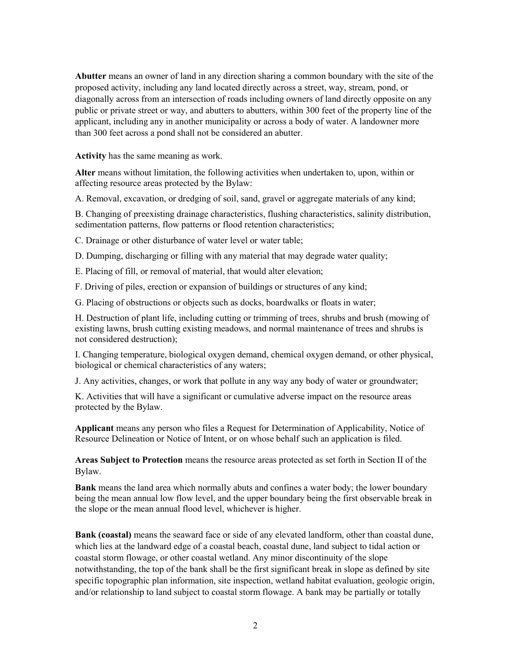Abutter means an owner of land in any direction sharing a common boundary with the site of the proposed activity, including any land located directly across a street, way, stream, pond, or diagonally across from an intersection of roads including owners of land directly opposite on any public or private street or way, and abutters to abutters, within 300 feet of the property line of the applicant, including any in another municipality or across a body of water. A landowner more than 300 feet across a pond shall not be considered an abutter.

Activity has the same meaning as work.

Alter means without limitation, the following activities when undertaken to, upon, within or affecting resource areas protected by the Bylaw:

A. Removal, excavation, or dredging of soil, sand, gravel or aggregate materials of any kind;

B. Changing of preexisting drainage characteristics, flushing characteristics, salinity distribution, sedimentation patterns, flow patterns or flood retention characteristics;

C. Drainage or other disturbance of water level or water table;

D. Dumping, discharging or filling with any material that may degrade water quality;

E. Placing of fill, or removal of material, that would alter elevation;

F. Driving of piles, erection or expansion of buildings or structures of any kind;

G. Placing of obstructions or objects such as docks, boardwalks or floats in water;

H. Destruction of plant life, including cutting or trimming of trees, shrubs and brush (mowing of existing lawns, brush cutting existing meadows, and normal maintenance of trees and shrubs is not considered destruction);

I. Changing temperature, biological oxygen demand, chemical oxygen demand, or other physical, biological or chemical characteristics of any waters;

J. Any activities, changes, or work that pollute in any way any body of water or groundwater;

K. Activities that will have a significant or cumulative adverse impact on the resource areas protected by the Bylaw.

Applicant means any person who files a Request for Determination of Applicability, Notice of Resource Delineation or Notice of Intent, or on whose behalf such an application is filed.

Areas Subject to Protection means the resource areas protected as set forth in Section II of the Bylaw.

Bank means the land area which normally abuts and confines a water body; the lower boundary being the mean annual low flow level, and the upper boundary being the first observable break in the slope or the mean annual flood level, whichever is higher.

Bank (coastal) means the seaward face or side of any elevated landform, other than coastal dune, which lies at the landward edge of a coastal beach, coastal dune, land subject to tidal action or coastal storm flowage, or other coastal wetland. Any minor discontinuity of the slope notwithstanding, the top of the bank shall be the first significant break in slope as defined by site specific topographic plan information, site inspection, wetland habitat evaluation, geologic origin, and/or relationship to land subject to coastal storm flowage. A bank may be partially or totally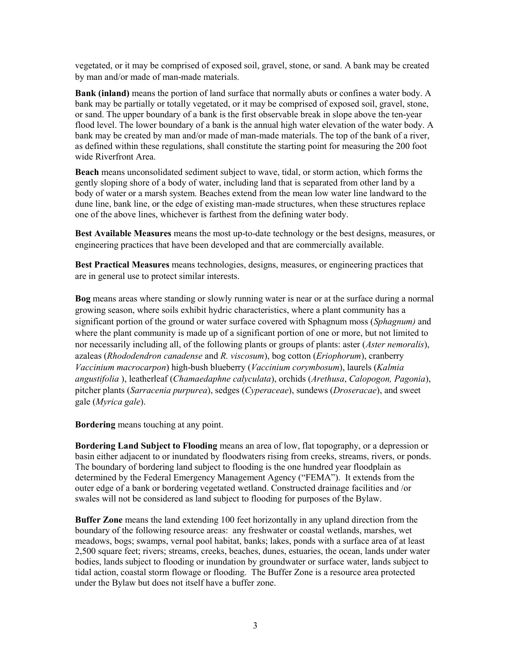vegetated, or it may be comprised of exposed soil, gravel, stone, or sand. A bank may be created by man and/or made of man-made materials.

Bank (inland) means the portion of land surface that normally abuts or confines a water body. A bank may be partially or totally vegetated, or it may be comprised of exposed soil, gravel, stone, or sand. The upper boundary of a bank is the first observable break in slope above the ten-year flood level. The lower boundary of a bank is the annual high water elevation of the water body. A bank may be created by man and/or made of man-made materials. The top of the bank of a river, as defined within these regulations, shall constitute the starting point for measuring the 200 foot wide Riverfront Area.

Beach means unconsolidated sediment subject to wave, tidal, or storm action, which forms the gently sloping shore of a body of water, including land that is separated from other land by a body of water or a marsh system. Beaches extend from the mean low water line landward to the dune line, bank line, or the edge of existing man-made structures, when these structures replace one of the above lines, whichever is farthest from the defining water body.

Best Available Measures means the most up-to-date technology or the best designs, measures, or engineering practices that have been developed and that are commercially available.

Best Practical Measures means technologies, designs, measures, or engineering practices that are in general use to protect similar interests.

Bog means areas where standing or slowly running water is near or at the surface during a normal growing season, where soils exhibit hydric characteristics, where a plant community has a significant portion of the ground or water surface covered with Sphagnum moss (Sphagnum) and where the plant community is made up of a significant portion of one or more, but not limited to nor necessarily including all, of the following plants or groups of plants: aster (*Aster nemoralis*), azaleas (Rhododendron canadense and R. viscosum), bog cotton (Eriophorum), cranberry Vaccinium macrocarpon) high-bush blueberry (Vaccinium corymbosum), laurels (Kalmia angustifolia ), leatherleaf (Chamaedaphne calyculata), orchids (Arethusa, Calopogon, Pagonia), pitcher plants (Sarracenia purpurea), sedges (Cyperaceae), sundews (Droseracae), and sweet gale (Myrica gale).

Bordering means touching at any point.

Bordering Land Subject to Flooding means an area of low, flat topography, or a depression or basin either adjacent to or inundated by floodwaters rising from creeks, streams, rivers, or ponds. The boundary of bordering land subject to flooding is the one hundred year floodplain as determined by the Federal Emergency Management Agency ("FEMA"). It extends from the outer edge of a bank or bordering vegetated wetland. Constructed drainage facilities and /or swales will not be considered as land subject to flooding for purposes of the Bylaw.

Buffer Zone means the land extending 100 feet horizontally in any upland direction from the boundary of the following resource areas: any freshwater or coastal wetlands, marshes, wet meadows, bogs; swamps, vernal pool habitat, banks; lakes, ponds with a surface area of at least 2,500 square feet; rivers; streams, creeks, beaches, dunes, estuaries, the ocean, lands under water bodies, lands subject to flooding or inundation by groundwater or surface water, lands subject to tidal action, coastal storm flowage or flooding. The Buffer Zone is a resource area protected under the Bylaw but does not itself have a buffer zone.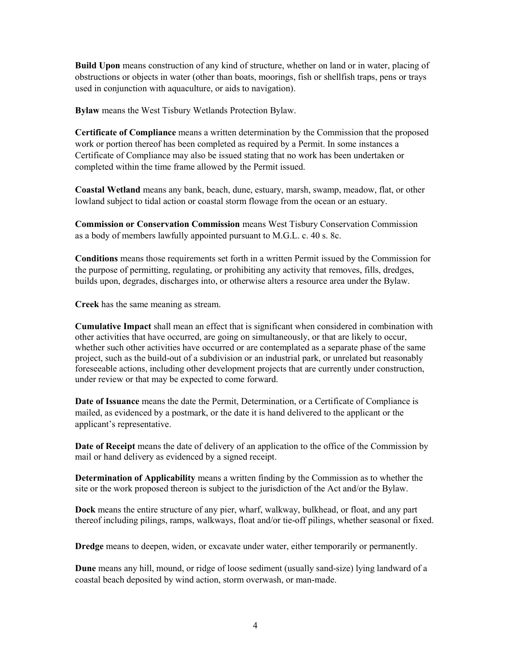Build Upon means construction of any kind of structure, whether on land or in water, placing of obstructions or objects in water (other than boats, moorings, fish or shellfish traps, pens or trays used in conjunction with aquaculture, or aids to navigation).

Bylaw means the West Tisbury Wetlands Protection Bylaw.

Certificate of Compliance means a written determination by the Commission that the proposed work or portion thereof has been completed as required by a Permit. In some instances a Certificate of Compliance may also be issued stating that no work has been undertaken or completed within the time frame allowed by the Permit issued.

Coastal Wetland means any bank, beach, dune, estuary, marsh, swamp, meadow, flat, or other lowland subject to tidal action or coastal storm flowage from the ocean or an estuary.

Commission or Conservation Commission means West Tisbury Conservation Commission as a body of members lawfully appointed pursuant to M.G.L. c. 40 s. 8c.

Conditions means those requirements set forth in a written Permit issued by the Commission for the purpose of permitting, regulating, or prohibiting any activity that removes, fills, dredges, builds upon, degrades, discharges into, or otherwise alters a resource area under the Bylaw.

Creek has the same meaning as stream.

Cumulative Impact shall mean an effect that is significant when considered in combination with other activities that have occurred, are going on simultaneously, or that are likely to occur, whether such other activities have occurred or are contemplated as a separate phase of the same project, such as the build-out of a subdivision or an industrial park, or unrelated but reasonably foreseeable actions, including other development projects that are currently under construction, under review or that may be expected to come forward.

Date of Issuance means the date the Permit, Determination, or a Certificate of Compliance is mailed, as evidenced by a postmark, or the date it is hand delivered to the applicant or the applicant's representative.

Date of Receipt means the date of delivery of an application to the office of the Commission by mail or hand delivery as evidenced by a signed receipt.

Determination of Applicability means a written finding by the Commission as to whether the site or the work proposed thereon is subject to the jurisdiction of the Act and/or the Bylaw.

Dock means the entire structure of any pier, wharf, walkway, bulkhead, or float, and any part thereof including pilings, ramps, walkways, float and/or tie-off pilings, whether seasonal or fixed.

Dredge means to deepen, widen, or excavate under water, either temporarily or permanently.

Dune means any hill, mound, or ridge of loose sediment (usually sand-size) lying landward of a coastal beach deposited by wind action, storm overwash, or man-made.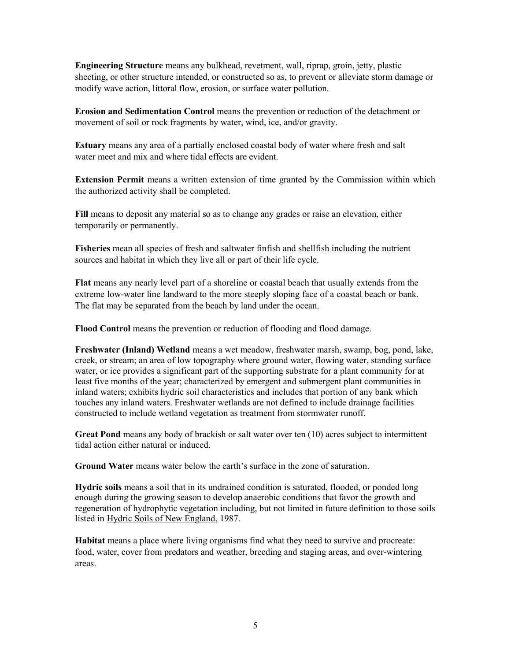Engineering Structure means any bulkhead, revetment, wall, riprap, groin, jetty, plastic sheeting, or other structure intended, or constructed so as, to prevent or alleviate storm damage or modify wave action, littoral flow, erosion, or surface water pollution.

Erosion and Sedimentation Control means the prevention or reduction of the detachment or movement of soil or rock fragments by water, wind, ice, and/or gravity.

Estuary means any area of a partially enclosed coastal body of water where fresh and salt water meet and mix and where tidal effects are evident.

Extension Permit means a written extension of time granted by the Commission within which the authorized activity shall be completed.

Fill means to deposit any material so as to change any grades or raise an elevation, either temporarily or permanently.

Fisheries mean all species of fresh and saltwater finfish and shellfish including the nutrient sources and habitat in which they live all or part of their life cycle.

Flat means any nearly level part of a shoreline or coastal beach that usually extends from the extreme low-water line landward to the more steeply sloping face of a coastal beach or bank. The flat may be separated from the beach by land under the ocean.

Flood Control means the prevention or reduction of flooding and flood damage.

Freshwater (Inland) Wetland means a wet meadow, freshwater marsh, swamp, bog, pond, lake, creek, or stream; an area of low topography where ground water, flowing water, standing surface water, or ice provides a significant part of the supporting substrate for a plant community for at least five months of the year; characterized by emergent and submergent plant communities in inland waters; exhibits hydric soil characteristics and includes that portion of any bank which touches any inland waters. Freshwater wetlands are not defined to include drainage facilities constructed to include wetland vegetation as treatment from stormwater runoff.

Great Pond means any body of brackish or salt water over ten (10) acres subject to intermittent tidal action either natural or induced.

Ground Water means water below the earth's surface in the zone of saturation.

Hydric soils means a soil that in its undrained condition is saturated, flooded, or ponded long enough during the growing season to develop anaerobic conditions that favor the growth and regeneration of hydrophytic vegetation including, but not limited in future definition to those soils listed in Hydric Soils of New England, 1987.

Habitat means a place where living organisms find what they need to survive and procreate: food, water, cover from predators and weather, breeding and staging areas, and over-wintering areas.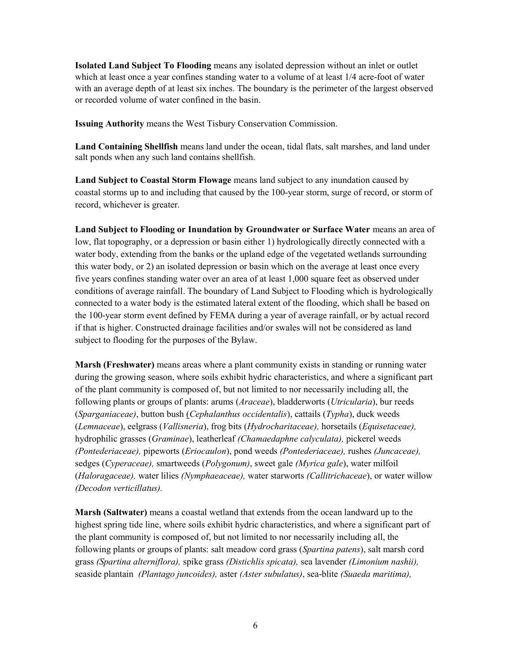Isolated Land Subject To Flooding means any isolated depression without an inlet or outlet which at least once a year confines standing water to a volume of at least 1/4 acre-foot of water with an average depth of at least six inches. The boundary is the perimeter of the largest observed or recorded volume of water confined in the basin.

Issuing Authority means the West Tisbury Conservation Commission.

Land Containing Shellfish means land under the ocean, tidal flats, salt marshes, and land under salt ponds when any such land contains shellfish.

Land Subject to Coastal Storm Flowage means land subject to any inundation caused by coastal storms up to and including that caused by the 100-year storm, surge of record, or storm of record, whichever is greater.

Land Subject to Flooding or Inundation by Groundwater or Surface Water means an area of low, flat topography, or a depression or basin either 1) hydrologically directly connected with a water body, extending from the banks or the upland edge of the vegetated wetlands surrounding this water body, or 2) an isolated depression or basin which on the average at least once every five years confines standing water over an area of at least 1,000 square feet as observed under conditions of average rainfall. The boundary of Land Subject to Flooding which is hydrologically connected to a water body is the estimated lateral extent of the flooding, which shall be based on the 100-year storm event defined by FEMA during a year of average rainfall, or by actual record if that is higher. Constructed drainage facilities and/or swales will not be considered as land subject to flooding for the purposes of the Bylaw.

Marsh (Freshwater) means areas where a plant community exists in standing or running water during the growing season, where soils exhibit hydric characteristics, and where a significant part of the plant community is composed of, but not limited to nor necessarily including all, the following plants or groups of plants: arums (*Araceae*), bladderworts (*Utricularia*), bur reeds (Sparganiaceae), button bush (Cephalanthus occidentalis), cattails (Typha), duck weeds (Lemnaceae), eelgrass (Vallisneria), frog bits (Hydrocharitaceae), horsetails (Equisetaceae), hydrophilic grasses (Graminae), leatherleaf (Chamaedaphne calyculata), pickerel weeds (Pontederiaceae), pipeworts (Eriocaulon), pond weeds (Pontederiaceae), rushes (Juncaceae), sedges (Cyperaceae), smartweeds (Polygonum), sweet gale (Myrica gale), water milfoil (Haloragaceae), water lilies (Nymphaeaceae), water starworts (Callitrichaceae), or water willow (Decodon verticillatus).

Marsh (Saltwater) means a coastal wetland that extends from the ocean landward up to the highest spring tide line, where soils exhibit hydric characteristics, and where a significant part of the plant community is composed of, but not limited to nor necessarily including all, the following plants or groups of plants: salt meadow cord grass (Spartina patens), salt marsh cord grass (Spartina alterniflora), spike grass (Distichlis spicata), sea lavender (Limonium nashii), seaside plantain (Plantago juncoides), aster (Aster subulatus), sea-blite (Suaeda maritima),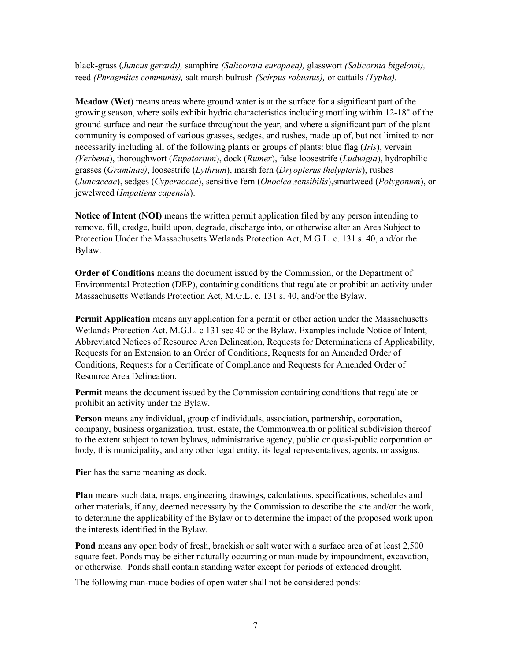black-grass (Juncus gerardi), samphire (Salicornia europaea), glasswort (Salicornia bigelovii), reed (Phragmites communis), salt marsh bulrush (Scirpus robustus), or cattails (Typha).

Meadow (Wet) means areas where ground water is at the surface for a significant part of the growing season, where soils exhibit hydric characteristics including mottling within 12-18" of the ground surface and near the surface throughout the year, and where a significant part of the plant community is composed of various grasses, sedges, and rushes, made up of, but not limited to nor necessarily including all of the following plants or groups of plants: blue flag (*Iris*), vervain (Verbena), thoroughwort (Eupatorium), dock (Rumex), false loosestrife (Ludwigia), hydrophilic grasses (Graminae), loosestrife (Lythrum), marsh fern (Dryopterus thelypteris), rushes (Juncaceae), sedges (Cyperaceae), sensitive fern (Onoclea sensibilis),smartweed (Polygonum), or jewelweed (Impatiens capensis).

Notice of Intent (NOI) means the written permit application filed by any person intending to remove, fill, dredge, build upon, degrade, discharge into, or otherwise alter an Area Subject to Protection Under the Massachusetts Wetlands Protection Act, M.G.L. c. 131 s. 40, and/or the Bylaw.

Order of Conditions means the document issued by the Commission, or the Department of Environmental Protection (DEP), containing conditions that regulate or prohibit an activity under Massachusetts Wetlands Protection Act, M.G.L. c. 131 s. 40, and/or the Bylaw.

Permit Application means any application for a permit or other action under the Massachusetts Wetlands Protection Act, M.G.L. c 131 sec 40 or the Bylaw. Examples include Notice of Intent, Abbreviated Notices of Resource Area Delineation, Requests for Determinations of Applicability, Requests for an Extension to an Order of Conditions, Requests for an Amended Order of Conditions, Requests for a Certificate of Compliance and Requests for Amended Order of Resource Area Delineation.

Permit means the document issued by the Commission containing conditions that regulate or prohibit an activity under the Bylaw.

Person means any individual, group of individuals, association, partnership, corporation, company, business organization, trust, estate, the Commonwealth or political subdivision thereof to the extent subject to town bylaws, administrative agency, public or quasi-public corporation or body, this municipality, and any other legal entity, its legal representatives, agents, or assigns.

Pier has the same meaning as dock.

Plan means such data, maps, engineering drawings, calculations, specifications, schedules and other materials, if any, deemed necessary by the Commission to describe the site and/or the work, to determine the applicability of the Bylaw or to determine the impact of the proposed work upon the interests identified in the Bylaw.

Pond means any open body of fresh, brackish or salt water with a surface area of at least 2,500 square feet. Ponds may be either naturally occurring or man-made by impoundment, excavation, or otherwise. Ponds shall contain standing water except for periods of extended drought.

The following man-made bodies of open water shall not be considered ponds: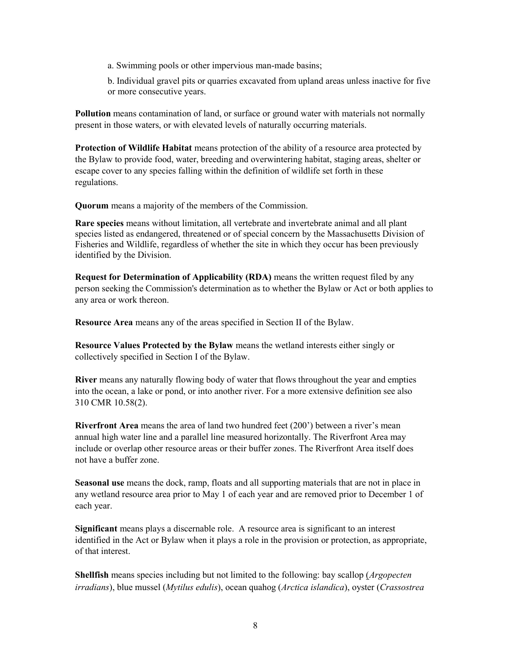a. Swimming pools or other impervious man-made basins;

b. Individual gravel pits or quarries excavated from upland areas unless inactive for five or more consecutive years.

Pollution means contamination of land, or surface or ground water with materials not normally present in those waters, or with elevated levels of naturally occurring materials.

Protection of Wildlife Habitat means protection of the ability of a resource area protected by the Bylaw to provide food, water, breeding and overwintering habitat, staging areas, shelter or escape cover to any species falling within the definition of wildlife set forth in these regulations.

Quorum means a majority of the members of the Commission.

Rare species means without limitation, all vertebrate and invertebrate animal and all plant species listed as endangered, threatened or of special concern by the Massachusetts Division of Fisheries and Wildlife, regardless of whether the site in which they occur has been previously identified by the Division.

Request for Determination of Applicability (RDA) means the written request filed by any person seeking the Commission's determination as to whether the Bylaw or Act or both applies to any area or work thereon.

Resource Area means any of the areas specified in Section II of the Bylaw.

Resource Values Protected by the Bylaw means the wetland interests either singly or collectively specified in Section I of the Bylaw.

River means any naturally flowing body of water that flows throughout the year and empties into the ocean, a lake or pond, or into another river. For a more extensive definition see also 310 CMR 10.58(2).

Riverfront Area means the area of land two hundred feet (200') between a river's mean annual high water line and a parallel line measured horizontally. The Riverfront Area may include or overlap other resource areas or their buffer zones. The Riverfront Area itself does not have a buffer zone.

Seasonal use means the dock, ramp, floats and all supporting materials that are not in place in any wetland resource area prior to May 1 of each year and are removed prior to December 1 of each year.

Significant means plays a discernable role. A resource area is significant to an interest identified in the Act or Bylaw when it plays a role in the provision or protection, as appropriate, of that interest.

Shellfish means species including but not limited to the following: bay scallop (*Argopecten*) irradians), blue mussel (Mytilus edulis), ocean quahog (Arctica islandica), oyster (Crassostrea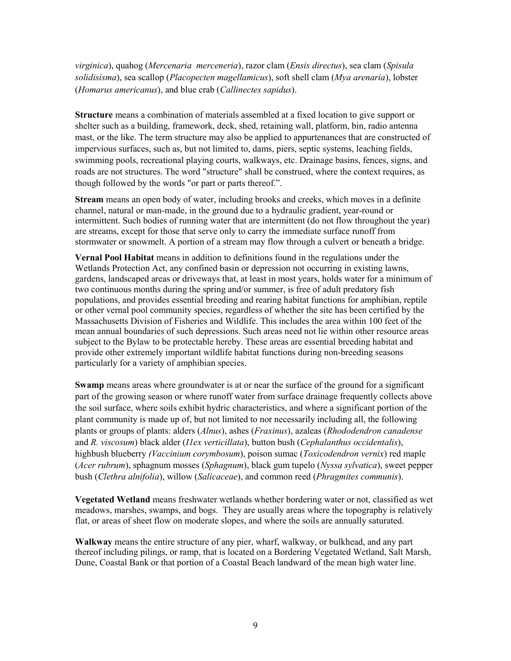virginica), quahog (Mercenaria merceneria), razor clam (Ensis directus), sea clam (Spisula solidisisma), sea scallop (Placopecten magellamicus), soft shell clam (Mya arenaria), lobster (Homarus americanus), and blue crab (Callinectes sapidus).

Structure means a combination of materials assembled at a fixed location to give support or shelter such as a building, framework, deck, shed, retaining wall, platform, bin, radio antenna mast, or the like. The term structure may also be applied to appurtenances that are constructed of impervious surfaces, such as, but not limited to, dams, piers, septic systems, leaching fields, swimming pools, recreational playing courts, walkways, etc. Drainage basins, fences, signs, and roads are not structures. The word "structure" shall be construed, where the context requires, as though followed by the words "or part or parts thereof.".

Stream means an open body of water, including brooks and creeks, which moves in a definite channel, natural or man-made, in the ground due to a hydraulic gradient, year-round or intermittent. Such bodies of running water that are intermittent (do not flow throughout the year) are streams, except for those that serve only to carry the immediate surface runoff from stormwater or snowmelt. A portion of a stream may flow through a culvert or beneath a bridge.

Vernal Pool Habitat means in addition to definitions found in the regulations under the Wetlands Protection Act, any confined basin or depression not occurring in existing lawns, gardens, landscaped areas or driveways that, at least in most years, holds water for a minimum of two continuous months during the spring and/or summer, is free of adult predatory fish populations, and provides essential breeding and rearing habitat functions for amphibian, reptile or other vernal pool community species, regardless of whether the site has been certified by the Massachusetts Division of Fisheries and Wildlife. This includes the area within 100 feet of the mean annual boundaries of such depressions. Such areas need not lie within other resource areas subject to the Bylaw to be protectable hereby. These areas are essential breeding habitat and provide other extremely important wildlife habitat functions during non-breeding seasons particularly for a variety of amphibian species.

Swamp means areas where groundwater is at or near the surface of the ground for a significant part of the growing season or where runoff water from surface drainage frequently collects above the soil surface, where soils exhibit hydric characteristics, and where a significant portion of the plant community is made up of, but not limited to nor necessarily including all, the following plants or groups of plants: alders (Alnus), ashes (Fraxinus), azaleas (Rhododendron canadense and R. viscosum) black alder (II ex verticillata), button bush (Cephalanthus occidentalis), highbush blueberry (Vaccinium corymbosum), poison sumac (Toxicodendron vernix) red maple (Acer rubrum), sphagnum mosses (Sphagnum), black gum tupelo (Nyssa sylvatica), sweet pepper bush (*Clethra alnifolia*), willow (*Salicaceae*), and common reed (*Phragmites communis*).

Vegetated Wetland means freshwater wetlands whether bordering water or not, classified as wet meadows, marshes, swamps, and bogs. They are usually areas where the topography is relatively flat, or areas of sheet flow on moderate slopes, and where the soils are annually saturated.

Walkway means the entire structure of any pier, wharf, walkway, or bulkhead, and any part thereof including pilings, or ramp, that is located on a Bordering Vegetated Wetland, Salt Marsh, Dune, Coastal Bank or that portion of a Coastal Beach landward of the mean high water line.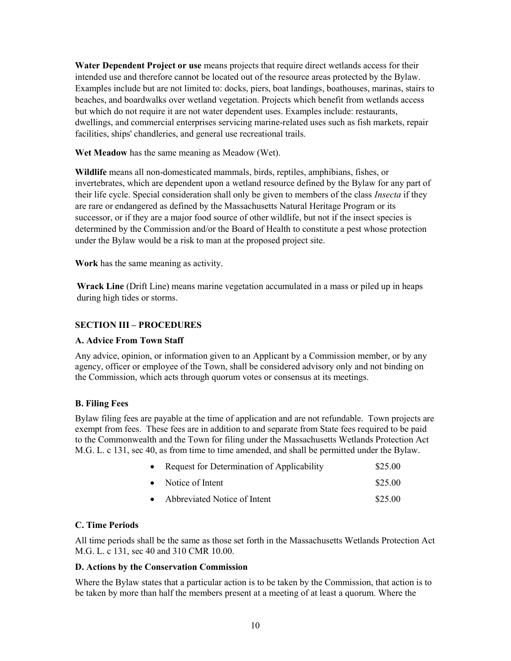Water Dependent Project or use means projects that require direct wetlands access for their intended use and therefore cannot be located out of the resource areas protected by the Bylaw. Examples include but are not limited to: docks, piers, boat landings, boathouses, marinas, stairs to beaches, and boardwalks over wetland vegetation. Projects which benefit from wetlands access but which do not require it are not water dependent uses. Examples include: restaurants, dwellings, and commercial enterprises servicing marine-related uses such as fish markets, repair facilities, ships' chandleries, and general use recreational trails.

Wet Meadow has the same meaning as Meadow (Wet).

Wildlife means all non-domesticated mammals, birds, reptiles, amphibians, fishes, or invertebrates, which are dependent upon a wetland resource defined by the Bylaw for any part of their life cycle. Special consideration shall only be given to members of the class *Insecta* if they are rare or endangered as defined by the Massachusetts Natural Heritage Program or its successor, or if they are a major food source of other wildlife, but not if the insect species is determined by the Commission and/or the Board of Health to constitute a pest whose protection under the Bylaw would be a risk to man at the proposed project site.

Work has the same meaning as activity.

Wrack Line (Drift Line) means marine vegetation accumulated in a mass or piled up in heaps during high tides or storms.

### SECTION III – PROCEDURES

#### A. Advice From Town Staff

Any advice, opinion, or information given to an Applicant by a Commission member, or by any agency, officer or employee of the Town, shall be considered advisory only and not binding on the Commission, which acts through quorum votes or consensus at its meetings.

#### B. Filing Fees

Bylaw filing fees are payable at the time of application and are not refundable. Town projects are exempt from fees. These fees are in addition to and separate from State fees required to be paid to the Commonwealth and the Town for filing under the Massachusetts Wetlands Protection Act M.G. L. c 131, sec 40, as from time to time amended, and shall be permitted under the Bylaw.

| Request for Determination of Applicability | \$25.00 |
|--------------------------------------------|---------|
| • Notice of Intent                         | \$25.00 |
| Abbreviated Notice of Intent               | \$25.00 |

# C. Time Periods

All time periods shall be the same as those set forth in the Massachusetts Wetlands Protection Act M.G. L. c 131, sec 40 and 310 CMR 10.00.

#### D. Actions by the Conservation Commission

Where the Bylaw states that a particular action is to be taken by the Commission, that action is to be taken by more than half the members present at a meeting of at least a quorum. Where the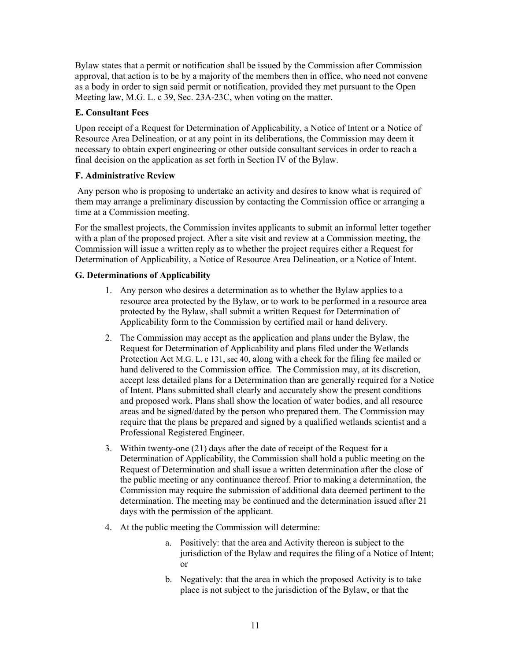Bylaw states that a permit or notification shall be issued by the Commission after Commission approval, that action is to be by a majority of the members then in office, who need not convene as a body in order to sign said permit or notification, provided they met pursuant to the Open Meeting law, M.G. L. c 39, Sec. 23A-23C, when voting on the matter.

# E. Consultant Fees

Upon receipt of a Request for Determination of Applicability, a Notice of Intent or a Notice of Resource Area Delineation, or at any point in its deliberations, the Commission may deem it necessary to obtain expert engineering or other outside consultant services in order to reach a final decision on the application as set forth in Section IV of the Bylaw.

#### F. Administrative Review

 Any person who is proposing to undertake an activity and desires to know what is required of them may arrange a preliminary discussion by contacting the Commission office or arranging a time at a Commission meeting.

For the smallest projects, the Commission invites applicants to submit an informal letter together with a plan of the proposed project. After a site visit and review at a Commission meeting, the Commission will issue a written reply as to whether the project requires either a Request for Determination of Applicability, a Notice of Resource Area Delineation, or a Notice of Intent.

### G. Determinations of Applicability

- 1. Any person who desires a determination as to whether the Bylaw applies to a resource area protected by the Bylaw, or to work to be performed in a resource area protected by the Bylaw, shall submit a written Request for Determination of Applicability form to the Commission by certified mail or hand delivery.
- 2. The Commission may accept as the application and plans under the Bylaw, the Request for Determination of Applicability and plans filed under the Wetlands Protection Act M.G. L. c 131, sec 40, along with a check for the filing fee mailed or hand delivered to the Commission office. The Commission may, at its discretion, accept less detailed plans for a Determination than are generally required for a Notice of Intent. Plans submitted shall clearly and accurately show the present conditions and proposed work. Plans shall show the location of water bodies, and all resource areas and be signed/dated by the person who prepared them. The Commission may require that the plans be prepared and signed by a qualified wetlands scientist and a Professional Registered Engineer.
- 3. Within twenty-one (21) days after the date of receipt of the Request for a Determination of Applicability, the Commission shall hold a public meeting on the Request of Determination and shall issue a written determination after the close of the public meeting or any continuance thereof. Prior to making a determination, the Commission may require the submission of additional data deemed pertinent to the determination. The meeting may be continued and the determination issued after 21 days with the permission of the applicant.
- 4. At the public meeting the Commission will determine:
	- a. Positively: that the area and Activity thereon is subject to the jurisdiction of the Bylaw and requires the filing of a Notice of Intent; or
	- b. Negatively: that the area in which the proposed Activity is to take place is not subject to the jurisdiction of the Bylaw, or that the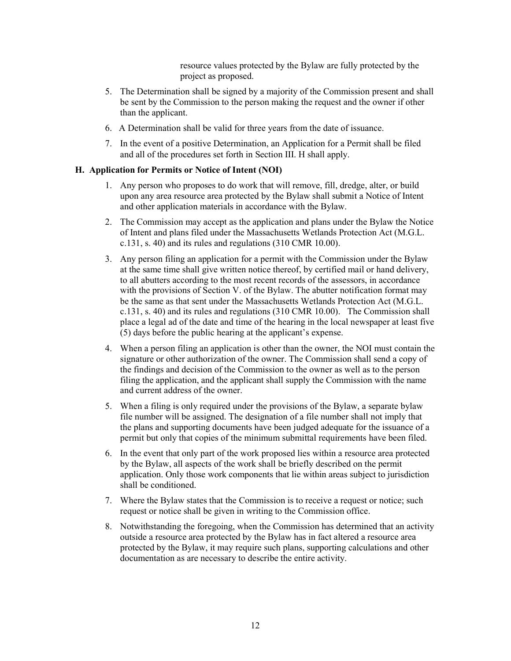resource values protected by the Bylaw are fully protected by the project as proposed.

- 5. The Determination shall be signed by a majority of the Commission present and shall be sent by the Commission to the person making the request and the owner if other than the applicant.
- 6. A Determination shall be valid for three years from the date of issuance.
- 7. In the event of a positive Determination, an Application for a Permit shall be filed and all of the procedures set forth in Section III. H shall apply.

# H. Application for Permits or Notice of Intent (NOI)

- 1. Any person who proposes to do work that will remove, fill, dredge, alter, or build upon any area resource area protected by the Bylaw shall submit a Notice of Intent and other application materials in accordance with the Bylaw.
- 2. The Commission may accept as the application and plans under the Bylaw the Notice of Intent and plans filed under the Massachusetts Wetlands Protection Act (M.G.L. c.131, s. 40) and its rules and regulations (310 CMR 10.00).
- 3. Any person filing an application for a permit with the Commission under the Bylaw at the same time shall give written notice thereof, by certified mail or hand delivery, to all abutters according to the most recent records of the assessors, in accordance with the provisions of Section V. of the Bylaw. The abutter notification format may be the same as that sent under the Massachusetts Wetlands Protection Act (M.G.L. c.131, s. 40) and its rules and regulations (310 CMR 10.00). The Commission shall place a legal ad of the date and time of the hearing in the local newspaper at least five (5) days before the public hearing at the applicant's expense.
- 4. When a person filing an application is other than the owner, the NOI must contain the signature or other authorization of the owner. The Commission shall send a copy of the findings and decision of the Commission to the owner as well as to the person filing the application, and the applicant shall supply the Commission with the name and current address of the owner.
- 5. When a filing is only required under the provisions of the Bylaw, a separate bylaw file number will be assigned. The designation of a file number shall not imply that the plans and supporting documents have been judged adequate for the issuance of a permit but only that copies of the minimum submittal requirements have been filed.
- 6. In the event that only part of the work proposed lies within a resource area protected by the Bylaw, all aspects of the work shall be briefly described on the permit application. Only those work components that lie within areas subject to jurisdiction shall be conditioned.
- 7. Where the Bylaw states that the Commission is to receive a request or notice; such request or notice shall be given in writing to the Commission office.
- 8. Notwithstanding the foregoing, when the Commission has determined that an activity outside a resource area protected by the Bylaw has in fact altered a resource area protected by the Bylaw, it may require such plans, supporting calculations and other documentation as are necessary to describe the entire activity.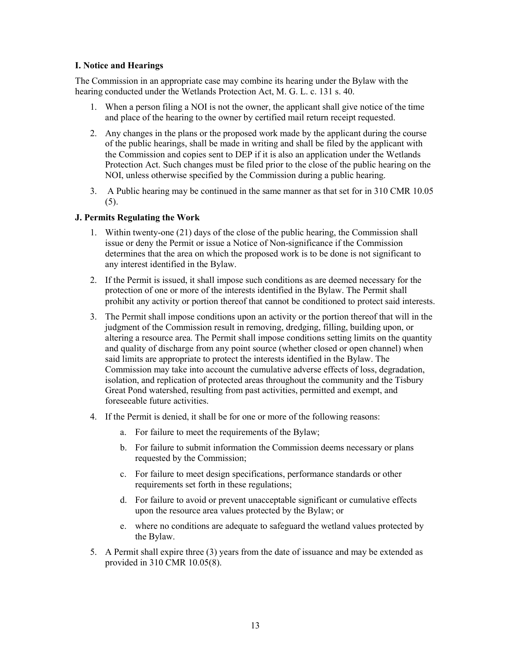#### I. Notice and Hearings

The Commission in an appropriate case may combine its hearing under the Bylaw with the hearing conducted under the Wetlands Protection Act, M. G. L. c. 131 s. 40.

- 1. When a person filing a NOI is not the owner, the applicant shall give notice of the time and place of the hearing to the owner by certified mail return receipt requested.
- 2. Any changes in the plans or the proposed work made by the applicant during the course of the public hearings, shall be made in writing and shall be filed by the applicant with the Commission and copies sent to DEP if it is also an application under the Wetlands Protection Act. Such changes must be filed prior to the close of the public hearing on the NOI, unless otherwise specified by the Commission during a public hearing.
- 3. A Public hearing may be continued in the same manner as that set for in 310 CMR 10.05  $(5)$ .

#### J. Permits Regulating the Work

- 1. Within twenty-one (21) days of the close of the public hearing, the Commission shall issue or deny the Permit or issue a Notice of Non-significance if the Commission determines that the area on which the proposed work is to be done is not significant to any interest identified in the Bylaw.
- 2. If the Permit is issued, it shall impose such conditions as are deemed necessary for the protection of one or more of the interests identified in the Bylaw. The Permit shall prohibit any activity or portion thereof that cannot be conditioned to protect said interests.
- 3. The Permit shall impose conditions upon an activity or the portion thereof that will in the judgment of the Commission result in removing, dredging, filling, building upon, or altering a resource area. The Permit shall impose conditions setting limits on the quantity and quality of discharge from any point source (whether closed or open channel) when said limits are appropriate to protect the interests identified in the Bylaw. The Commission may take into account the cumulative adverse effects of loss, degradation, isolation, and replication of protected areas throughout the community and the Tisbury Great Pond watershed, resulting from past activities, permitted and exempt, and foreseeable future activities.
- 4. If the Permit is denied, it shall be for one or more of the following reasons:
	- a. For failure to meet the requirements of the Bylaw;
	- b. For failure to submit information the Commission deems necessary or plans requested by the Commission;
	- c. For failure to meet design specifications, performance standards or other requirements set forth in these regulations;
	- d. For failure to avoid or prevent unacceptable significant or cumulative effects upon the resource area values protected by the Bylaw; or
	- e. where no conditions are adequate to safeguard the wetland values protected by the Bylaw.
- 5. A Permit shall expire three (3) years from the date of issuance and may be extended as provided in 310 CMR 10.05(8).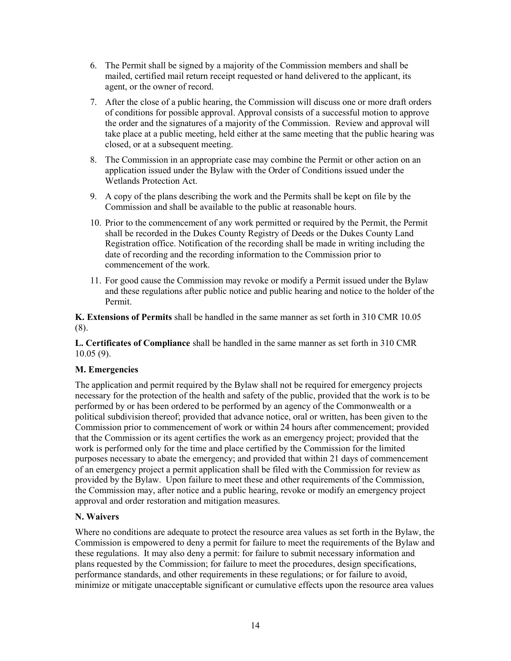- 6. The Permit shall be signed by a majority of the Commission members and shall be mailed, certified mail return receipt requested or hand delivered to the applicant, its agent, or the owner of record.
- 7. After the close of a public hearing, the Commission will discuss one or more draft orders of conditions for possible approval. Approval consists of a successful motion to approve the order and the signatures of a majority of the Commission. Review and approval will take place at a public meeting, held either at the same meeting that the public hearing was closed, or at a subsequent meeting.
- 8. The Commission in an appropriate case may combine the Permit or other action on an application issued under the Bylaw with the Order of Conditions issued under the Wetlands Protection Act.
- 9. A copy of the plans describing the work and the Permits shall be kept on file by the Commission and shall be available to the public at reasonable hours.
- 10. Prior to the commencement of any work permitted or required by the Permit, the Permit shall be recorded in the Dukes County Registry of Deeds or the Dukes County Land Registration office. Notification of the recording shall be made in writing including the date of recording and the recording information to the Commission prior to commencement of the work.
- 11. For good cause the Commission may revoke or modify a Permit issued under the Bylaw and these regulations after public notice and public hearing and notice to the holder of the Permit.

K. Extensions of Permits shall be handled in the same manner as set forth in 310 CMR 10.05 (8).

L. Certificates of Compliance shall be handled in the same manner as set forth in 310 CMR 10.05 (9).

# M. Emergencies

The application and permit required by the Bylaw shall not be required for emergency projects necessary for the protection of the health and safety of the public, provided that the work is to be performed by or has been ordered to be performed by an agency of the Commonwealth or a political subdivision thereof; provided that advance notice, oral or written, has been given to the Commission prior to commencement of work or within 24 hours after commencement; provided that the Commission or its agent certifies the work as an emergency project; provided that the work is performed only for the time and place certified by the Commission for the limited purposes necessary to abate the emergency; and provided that within 21 days of commencement of an emergency project a permit application shall be filed with the Commission for review as provided by the Bylaw. Upon failure to meet these and other requirements of the Commission, the Commission may, after notice and a public hearing, revoke or modify an emergency project approval and order restoration and mitigation measures.

#### N. Waivers

Where no conditions are adequate to protect the resource area values as set forth in the Bylaw, the Commission is empowered to deny a permit for failure to meet the requirements of the Bylaw and these regulations. It may also deny a permit: for failure to submit necessary information and plans requested by the Commission; for failure to meet the procedures, design specifications, performance standards, and other requirements in these regulations; or for failure to avoid, minimize or mitigate unacceptable significant or cumulative effects upon the resource area values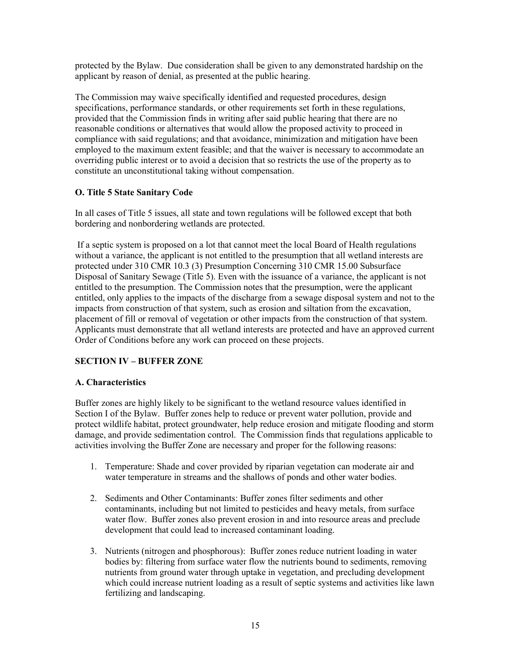protected by the Bylaw. Due consideration shall be given to any demonstrated hardship on the applicant by reason of denial, as presented at the public hearing.

The Commission may waive specifically identified and requested procedures, design specifications, performance standards, or other requirements set forth in these regulations, provided that the Commission finds in writing after said public hearing that there are no reasonable conditions or alternatives that would allow the proposed activity to proceed in compliance with said regulations; and that avoidance, minimization and mitigation have been employed to the maximum extent feasible; and that the waiver is necessary to accommodate an overriding public interest or to avoid a decision that so restricts the use of the property as to constitute an unconstitutional taking without compensation.

# O. Title 5 State Sanitary Code

In all cases of Title 5 issues, all state and town regulations will be followed except that both bordering and nonbordering wetlands are protected.

 If a septic system is proposed on a lot that cannot meet the local Board of Health regulations without a variance, the applicant is not entitled to the presumption that all wetland interests are protected under 310 CMR 10.3 (3) Presumption Concerning 310 CMR 15.00 Subsurface Disposal of Sanitary Sewage (Title 5). Even with the issuance of a variance, the applicant is not entitled to the presumption. The Commission notes that the presumption, were the applicant entitled, only applies to the impacts of the discharge from a sewage disposal system and not to the impacts from construction of that system, such as erosion and siltation from the excavation, placement of fill or removal of vegetation or other impacts from the construction of that system. Applicants must demonstrate that all wetland interests are protected and have an approved current Order of Conditions before any work can proceed on these projects.

# SECTION IV – BUFFER ZONE

# A. Characteristics

Buffer zones are highly likely to be significant to the wetland resource values identified in Section I of the Bylaw. Buffer zones help to reduce or prevent water pollution, provide and protect wildlife habitat, protect groundwater, help reduce erosion and mitigate flooding and storm damage, and provide sedimentation control. The Commission finds that regulations applicable to activities involving the Buffer Zone are necessary and proper for the following reasons:

- 1. Temperature: Shade and cover provided by riparian vegetation can moderate air and water temperature in streams and the shallows of ponds and other water bodies.
- 2. Sediments and Other Contaminants: Buffer zones filter sediments and other contaminants, including but not limited to pesticides and heavy metals, from surface water flow. Buffer zones also prevent erosion in and into resource areas and preclude development that could lead to increased contaminant loading.
- 3. Nutrients (nitrogen and phosphorous): Buffer zones reduce nutrient loading in water bodies by: filtering from surface water flow the nutrients bound to sediments, removing nutrients from ground water through uptake in vegetation, and precluding development which could increase nutrient loading as a result of septic systems and activities like lawn fertilizing and landscaping.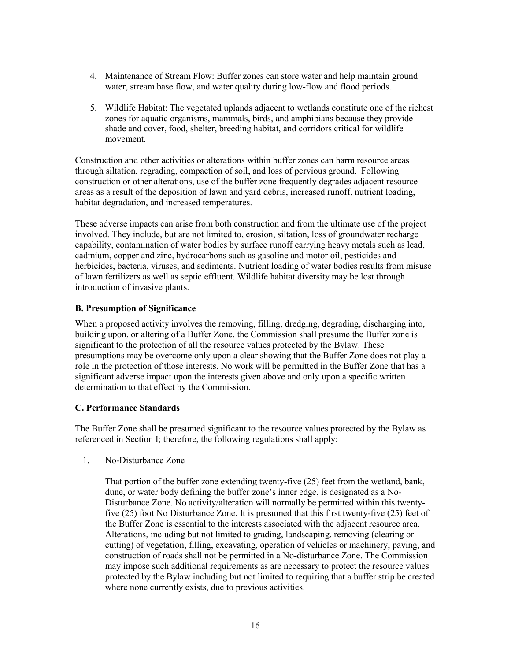- 4. Maintenance of Stream Flow: Buffer zones can store water and help maintain ground water, stream base flow, and water quality during low-flow and flood periods.
- 5. Wildlife Habitat: The vegetated uplands adjacent to wetlands constitute one of the richest zones for aquatic organisms, mammals, birds, and amphibians because they provide shade and cover, food, shelter, breeding habitat, and corridors critical for wildlife movement.

Construction and other activities or alterations within buffer zones can harm resource areas through siltation, regrading, compaction of soil, and loss of pervious ground. Following construction or other alterations, use of the buffer zone frequently degrades adjacent resource areas as a result of the deposition of lawn and yard debris, increased runoff, nutrient loading, habitat degradation, and increased temperatures.

These adverse impacts can arise from both construction and from the ultimate use of the project involved. They include, but are not limited to, erosion, siltation, loss of groundwater recharge capability, contamination of water bodies by surface runoff carrying heavy metals such as lead, cadmium, copper and zinc, hydrocarbons such as gasoline and motor oil, pesticides and herbicides, bacteria, viruses, and sediments. Nutrient loading of water bodies results from misuse of lawn fertilizers as well as septic effluent. Wildlife habitat diversity may be lost through introduction of invasive plants.

#### B. Presumption of Significance

When a proposed activity involves the removing, filling, dredging, degrading, discharging into, building upon, or altering of a Buffer Zone, the Commission shall presume the Buffer zone is significant to the protection of all the resource values protected by the Bylaw. These presumptions may be overcome only upon a clear showing that the Buffer Zone does not play a role in the protection of those interests. No work will be permitted in the Buffer Zone that has a significant adverse impact upon the interests given above and only upon a specific written determination to that effect by the Commission.

#### C. Performance Standards

The Buffer Zone shall be presumed significant to the resource values protected by the Bylaw as referenced in Section I; therefore, the following regulations shall apply:

1. No-Disturbance Zone

That portion of the buffer zone extending twenty-five (25) feet from the wetland, bank, dune, or water body defining the buffer zone's inner edge, is designated as a No-Disturbance Zone. No activity/alteration will normally be permitted within this twentyfive (25) foot No Disturbance Zone. It is presumed that this first twenty-five (25) feet of the Buffer Zone is essential to the interests associated with the adjacent resource area. Alterations, including but not limited to grading, landscaping, removing (clearing or cutting) of vegetation, filling, excavating, operation of vehicles or machinery, paving, and construction of roads shall not be permitted in a No-disturbance Zone. The Commission may impose such additional requirements as are necessary to protect the resource values protected by the Bylaw including but not limited to requiring that a buffer strip be created where none currently exists, due to previous activities.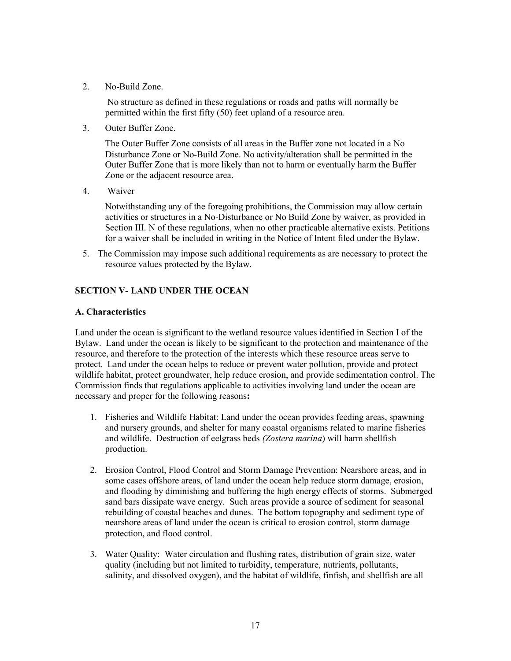2. No-Build Zone.

 No structure as defined in these regulations or roads and paths will normally be permitted within the first fifty (50) feet upland of a resource area.

3. Outer Buffer Zone.

 The Outer Buffer Zone consists of all areas in the Buffer zone not located in a No Disturbance Zone or No-Build Zone. No activity/alteration shall be permitted in the Outer Buffer Zone that is more likely than not to harm or eventually harm the Buffer Zone or the adjacent resource area.

4. Waiver

 Notwithstanding any of the foregoing prohibitions, the Commission may allow certain activities or structures in a No-Disturbance or No Build Zone by waiver, as provided in Section III. N of these regulations, when no other practicable alternative exists. Petitions for a waiver shall be included in writing in the Notice of Intent filed under the Bylaw.

5. The Commission may impose such additional requirements as are necessary to protect the resource values protected by the Bylaw.

### SECTION V- LAND UNDER THE OCEAN

#### A. Characteristics

Land under the ocean is significant to the wetland resource values identified in Section I of the Bylaw. Land under the ocean is likely to be significant to the protection and maintenance of the resource, and therefore to the protection of the interests which these resource areas serve to protect. Land under the ocean helps to reduce or prevent water pollution, provide and protect wildlife habitat, protect groundwater, help reduce erosion, and provide sedimentation control. The Commission finds that regulations applicable to activities involving land under the ocean are necessary and proper for the following reasons:

- 1. Fisheries and Wildlife Habitat: Land under the ocean provides feeding areas, spawning and nursery grounds, and shelter for many coastal organisms related to marine fisheries and wildlife. Destruction of eelgrass beds (Zostera marina) will harm shellfish production.
- 2. Erosion Control, Flood Control and Storm Damage Prevention: Nearshore areas, and in some cases offshore areas, of land under the ocean help reduce storm damage, erosion, and flooding by diminishing and buffering the high energy effects of storms. Submerged sand bars dissipate wave energy. Such areas provide a source of sediment for seasonal rebuilding of coastal beaches and dunes. The bottom topography and sediment type of nearshore areas of land under the ocean is critical to erosion control, storm damage protection, and flood control.
- 3. Water Quality: Water circulation and flushing rates, distribution of grain size, water quality (including but not limited to turbidity, temperature, nutrients, pollutants, salinity, and dissolved oxygen), and the habitat of wildlife, finfish, and shellfish are all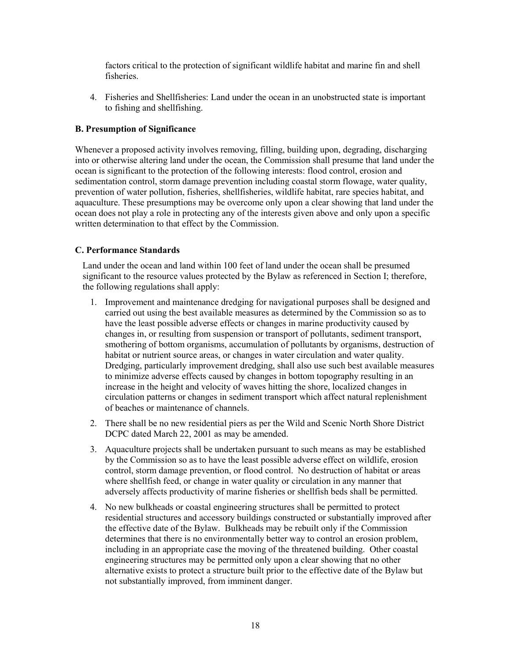factors critical to the protection of significant wildlife habitat and marine fin and shell fisheries.

4. Fisheries and Shellfisheries: Land under the ocean in an unobstructed state is important to fishing and shellfishing.

### B. Presumption of Significance

Whenever a proposed activity involves removing, filling, building upon, degrading, discharging into or otherwise altering land under the ocean, the Commission shall presume that land under the ocean is significant to the protection of the following interests: flood control, erosion and sedimentation control, storm damage prevention including coastal storm flowage, water quality, prevention of water pollution, fisheries, shellfisheries, wildlife habitat, rare species habitat, and aquaculture. These presumptions may be overcome only upon a clear showing that land under the ocean does not play a role in protecting any of the interests given above and only upon a specific written determination to that effect by the Commission.

### C. Performance Standards

 Land under the ocean and land within 100 feet of land under the ocean shall be presumed significant to the resource values protected by the Bylaw as referenced in Section I; therefore, the following regulations shall apply:

- 1. Improvement and maintenance dredging for navigational purposes shall be designed and carried out using the best available measures as determined by the Commission so as to have the least possible adverse effects or changes in marine productivity caused by changes in, or resulting from suspension or transport of pollutants, sediment transport, smothering of bottom organisms, accumulation of pollutants by organisms, destruction of habitat or nutrient source areas, or changes in water circulation and water quality. Dredging, particularly improvement dredging, shall also use such best available measures to minimize adverse effects caused by changes in bottom topography resulting in an increase in the height and velocity of waves hitting the shore, localized changes in circulation patterns or changes in sediment transport which affect natural replenishment of beaches or maintenance of channels.
- 2. There shall be no new residential piers as per the Wild and Scenic North Shore District DCPC dated March 22, 2001 as may be amended.
- 3. Aquaculture projects shall be undertaken pursuant to such means as may be established by the Commission so as to have the least possible adverse effect on wildlife, erosion control, storm damage prevention, or flood control. No destruction of habitat or areas where shellfish feed, or change in water quality or circulation in any manner that adversely affects productivity of marine fisheries or shellfish beds shall be permitted.
- 4. No new bulkheads or coastal engineering structures shall be permitted to protect residential structures and accessory buildings constructed or substantially improved after the effective date of the Bylaw. Bulkheads may be rebuilt only if the Commission determines that there is no environmentally better way to control an erosion problem, including in an appropriate case the moving of the threatened building. Other coastal engineering structures may be permitted only upon a clear showing that no other alternative exists to protect a structure built prior to the effective date of the Bylaw but not substantially improved, from imminent danger.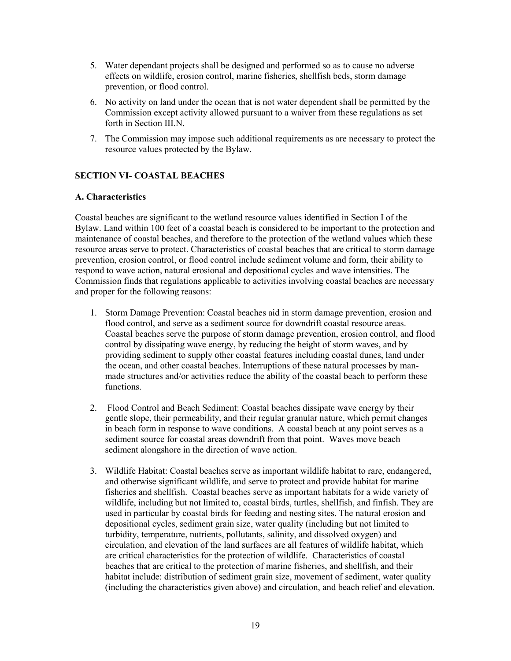- 5. Water dependant projects shall be designed and performed so as to cause no adverse effects on wildlife, erosion control, marine fisheries, shellfish beds, storm damage prevention, or flood control.
- 6. No activity on land under the ocean that is not water dependent shall be permitted by the Commission except activity allowed pursuant to a waiver from these regulations as set forth in Section III.N.
- 7. The Commission may impose such additional requirements as are necessary to protect the resource values protected by the Bylaw.

### SECTION VI- COASTAL BEACHES

#### A. Characteristics

Coastal beaches are significant to the wetland resource values identified in Section I of the Bylaw. Land within 100 feet of a coastal beach is considered to be important to the protection and maintenance of coastal beaches, and therefore to the protection of the wetland values which these resource areas serve to protect. Characteristics of coastal beaches that are critical to storm damage prevention, erosion control, or flood control include sediment volume and form, their ability to respond to wave action, natural erosional and depositional cycles and wave intensities. The Commission finds that regulations applicable to activities involving coastal beaches are necessary and proper for the following reasons:

- 1. Storm Damage Prevention: Coastal beaches aid in storm damage prevention, erosion and flood control, and serve as a sediment source for downdrift coastal resource areas. Coastal beaches serve the purpose of storm damage prevention, erosion control, and flood control by dissipating wave energy, by reducing the height of storm waves, and by providing sediment to supply other coastal features including coastal dunes, land under the ocean, and other coastal beaches. Interruptions of these natural processes by manmade structures and/or activities reduce the ability of the coastal beach to perform these functions.
- 2. Flood Control and Beach Sediment: Coastal beaches dissipate wave energy by their gentle slope, their permeability, and their regular granular nature, which permit changes in beach form in response to wave conditions. A coastal beach at any point serves as a sediment source for coastal areas downdrift from that point. Waves move beach sediment alongshore in the direction of wave action.
- 3. Wildlife Habitat: Coastal beaches serve as important wildlife habitat to rare, endangered, and otherwise significant wildlife, and serve to protect and provide habitat for marine fisheries and shellfish. Coastal beaches serve as important habitats for a wide variety of wildlife, including but not limited to, coastal birds, turtles, shellfish, and finfish. They are used in particular by coastal birds for feeding and nesting sites. The natural erosion and depositional cycles, sediment grain size, water quality (including but not limited to turbidity, temperature, nutrients, pollutants, salinity, and dissolved oxygen) and circulation, and elevation of the land surfaces are all features of wildlife habitat, which are critical characteristics for the protection of wildlife. Characteristics of coastal beaches that are critical to the protection of marine fisheries, and shellfish, and their habitat include: distribution of sediment grain size, movement of sediment, water quality (including the characteristics given above) and circulation, and beach relief and elevation.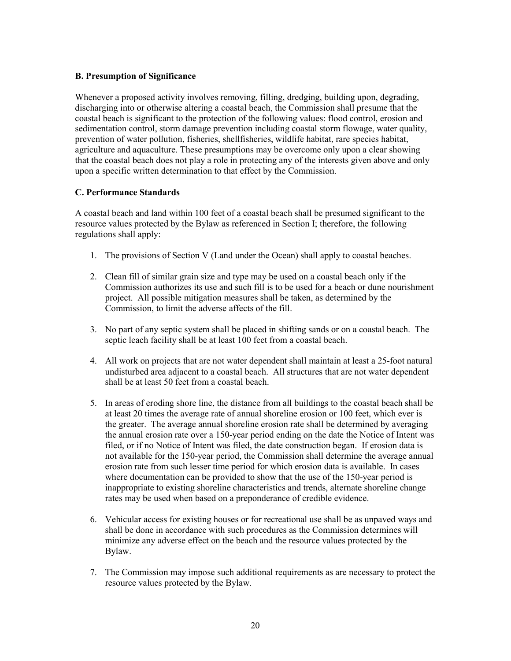# B. Presumption of Significance

Whenever a proposed activity involves removing, filling, dredging, building upon, degrading, discharging into or otherwise altering a coastal beach, the Commission shall presume that the coastal beach is significant to the protection of the following values: flood control, erosion and sedimentation control, storm damage prevention including coastal storm flowage, water quality, prevention of water pollution, fisheries, shellfisheries, wildlife habitat, rare species habitat, agriculture and aquaculture. These presumptions may be overcome only upon a clear showing that the coastal beach does not play a role in protecting any of the interests given above and only upon a specific written determination to that effect by the Commission.

### C. Performance Standards

A coastal beach and land within 100 feet of a coastal beach shall be presumed significant to the resource values protected by the Bylaw as referenced in Section I; therefore, the following regulations shall apply:

- 1. The provisions of Section V (Land under the Ocean) shall apply to coastal beaches.
- 2. Clean fill of similar grain size and type may be used on a coastal beach only if the Commission authorizes its use and such fill is to be used for a beach or dune nourishment project. All possible mitigation measures shall be taken, as determined by the Commission, to limit the adverse affects of the fill.
- 3. No part of any septic system shall be placed in shifting sands or on a coastal beach. The septic leach facility shall be at least 100 feet from a coastal beach.
- 4. All work on projects that are not water dependent shall maintain at least a 25-foot natural undisturbed area adjacent to a coastal beach. All structures that are not water dependent shall be at least 50 feet from a coastal beach.
- 5. In areas of eroding shore line, the distance from all buildings to the coastal beach shall be at least 20 times the average rate of annual shoreline erosion or 100 feet, which ever is the greater. The average annual shoreline erosion rate shall be determined by averaging the annual erosion rate over a 150-year period ending on the date the Notice of Intent was filed, or if no Notice of Intent was filed, the date construction began. If erosion data is not available for the 150-year period, the Commission shall determine the average annual erosion rate from such lesser time period for which erosion data is available. In cases where documentation can be provided to show that the use of the 150-year period is inappropriate to existing shoreline characteristics and trends, alternate shoreline change rates may be used when based on a preponderance of credible evidence.
- 6. Vehicular access for existing houses or for recreational use shall be as unpaved ways and shall be done in accordance with such procedures as the Commission determines will minimize any adverse effect on the beach and the resource values protected by the Bylaw.
- 7. The Commission may impose such additional requirements as are necessary to protect the resource values protected by the Bylaw.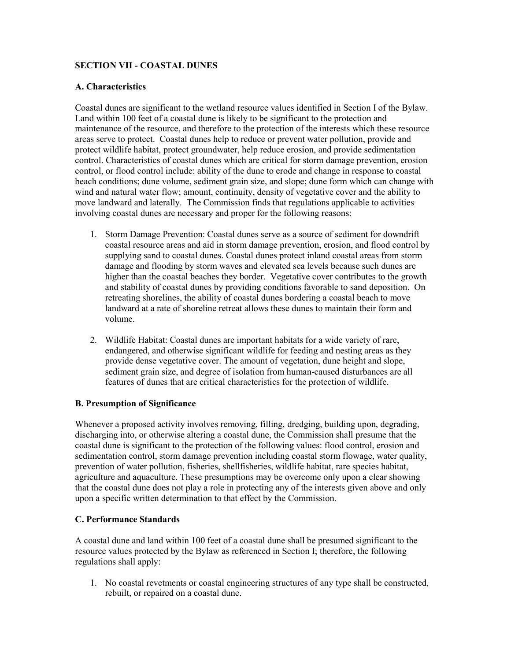### SECTION VII - COASTAL DUNES

#### A. Characteristics

Coastal dunes are significant to the wetland resource values identified in Section I of the Bylaw. Land within 100 feet of a coastal dune is likely to be significant to the protection and maintenance of the resource, and therefore to the protection of the interests which these resource areas serve to protect. Coastal dunes help to reduce or prevent water pollution, provide and protect wildlife habitat, protect groundwater, help reduce erosion, and provide sedimentation control. Characteristics of coastal dunes which are critical for storm damage prevention, erosion control, or flood control include: ability of the dune to erode and change in response to coastal beach conditions; dune volume, sediment grain size, and slope; dune form which can change with wind and natural water flow; amount, continuity, density of vegetative cover and the ability to move landward and laterally. The Commission finds that regulations applicable to activities involving coastal dunes are necessary and proper for the following reasons:

- 1. Storm Damage Prevention: Coastal dunes serve as a source of sediment for downdrift coastal resource areas and aid in storm damage prevention, erosion, and flood control by supplying sand to coastal dunes. Coastal dunes protect inland coastal areas from storm damage and flooding by storm waves and elevated sea levels because such dunes are higher than the coastal beaches they border. Vegetative cover contributes to the growth and stability of coastal dunes by providing conditions favorable to sand deposition. On retreating shorelines, the ability of coastal dunes bordering a coastal beach to move landward at a rate of shoreline retreat allows these dunes to maintain their form and volume.
- 2. Wildlife Habitat: Coastal dunes are important habitats for a wide variety of rare, endangered, and otherwise significant wildlife for feeding and nesting areas as they provide dense vegetative cover. The amount of vegetation, dune height and slope, sediment grain size, and degree of isolation from human-caused disturbances are all features of dunes that are critical characteristics for the protection of wildlife.

#### B. Presumption of Significance

Whenever a proposed activity involves removing, filling, dredging, building upon, degrading, discharging into, or otherwise altering a coastal dune, the Commission shall presume that the coastal dune is significant to the protection of the following values: flood control, erosion and sedimentation control, storm damage prevention including coastal storm flowage, water quality, prevention of water pollution, fisheries, shellfisheries, wildlife habitat, rare species habitat, agriculture and aquaculture. These presumptions may be overcome only upon a clear showing that the coastal dune does not play a role in protecting any of the interests given above and only upon a specific written determination to that effect by the Commission.

# C. Performance Standards

A coastal dune and land within 100 feet of a coastal dune shall be presumed significant to the resource values protected by the Bylaw as referenced in Section I; therefore, the following regulations shall apply:

1. No coastal revetments or coastal engineering structures of any type shall be constructed, rebuilt, or repaired on a coastal dune.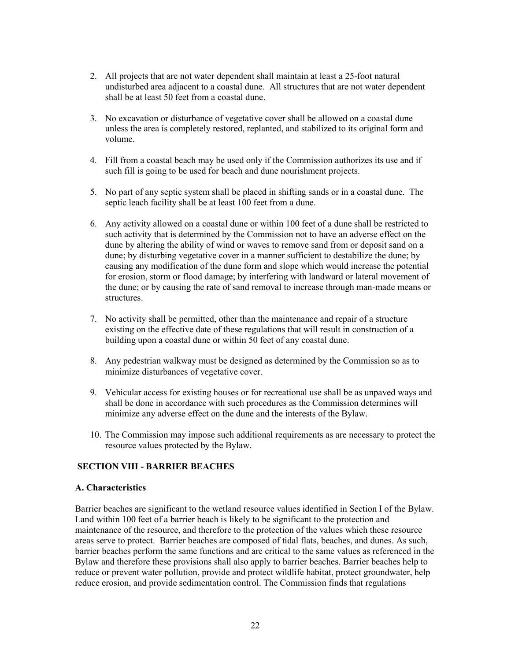- 2. All projects that are not water dependent shall maintain at least a 25-foot natural undisturbed area adjacent to a coastal dune. All structures that are not water dependent shall be at least 50 feet from a coastal dune.
- 3. No excavation or disturbance of vegetative cover shall be allowed on a coastal dune unless the area is completely restored, replanted, and stabilized to its original form and volume.
- 4. Fill from a coastal beach may be used only if the Commission authorizes its use and if such fill is going to be used for beach and dune nourishment projects.
- 5. No part of any septic system shall be placed in shifting sands or in a coastal dune. The septic leach facility shall be at least 100 feet from a dune.
- 6. Any activity allowed on a coastal dune or within 100 feet of a dune shall be restricted to such activity that is determined by the Commission not to have an adverse effect on the dune by altering the ability of wind or waves to remove sand from or deposit sand on a dune; by disturbing vegetative cover in a manner sufficient to destabilize the dune; by causing any modification of the dune form and slope which would increase the potential for erosion, storm or flood damage; by interfering with landward or lateral movement of the dune; or by causing the rate of sand removal to increase through man-made means or structures.
- 7. No activity shall be permitted, other than the maintenance and repair of a structure existing on the effective date of these regulations that will result in construction of a building upon a coastal dune or within 50 feet of any coastal dune.
- 8. Any pedestrian walkway must be designed as determined by the Commission so as to minimize disturbances of vegetative cover.
- 9. Vehicular access for existing houses or for recreational use shall be as unpaved ways and shall be done in accordance with such procedures as the Commission determines will minimize any adverse effect on the dune and the interests of the Bylaw.
- 10. The Commission may impose such additional requirements as are necessary to protect the resource values protected by the Bylaw.

#### SECTION VIII - BARRIER BEACHES

#### A. Characteristics

Barrier beaches are significant to the wetland resource values identified in Section I of the Bylaw. Land within 100 feet of a barrier beach is likely to be significant to the protection and maintenance of the resource, and therefore to the protection of the values which these resource areas serve to protect. Barrier beaches are composed of tidal flats, beaches, and dunes. As such, barrier beaches perform the same functions and are critical to the same values as referenced in the Bylaw and therefore these provisions shall also apply to barrier beaches. Barrier beaches help to reduce or prevent water pollution, provide and protect wildlife habitat, protect groundwater, help reduce erosion, and provide sedimentation control. The Commission finds that regulations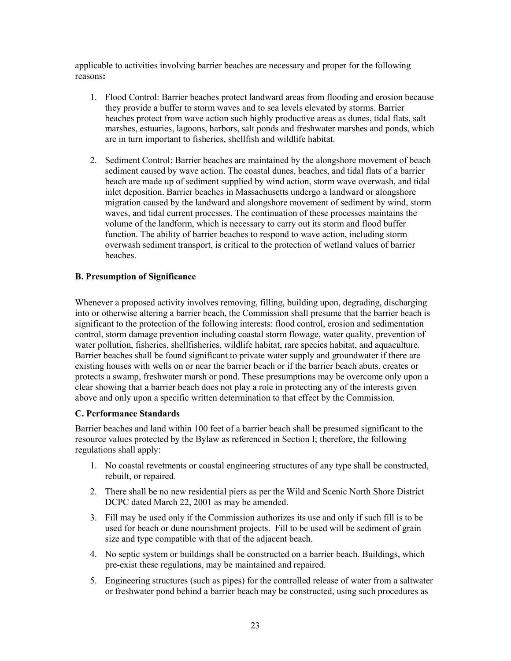applicable to activities involving barrier beaches are necessary and proper for the following reasons:

- 1. Flood Control: Barrier beaches protect landward areas from flooding and erosion because they provide a buffer to storm waves and to sea levels elevated by storms. Barrier beaches protect from wave action such highly productive areas as dunes, tidal flats, salt marshes, estuaries, lagoons, harbors, salt ponds and freshwater marshes and ponds, which are in turn important to fisheries, shellfish and wildlife habitat.
- 2. Sediment Control: Barrier beaches are maintained by the alongshore movement of beach sediment caused by wave action. The coastal dunes, beaches, and tidal flats of a barrier beach are made up of sediment supplied by wind action, storm wave overwash, and tidal inlet deposition. Barrier beaches in Massachusetts undergo a landward or alongshore migration caused by the landward and alongshore movement of sediment by wind, storm waves, and tidal current processes. The continuation of these processes maintains the volume of the landform, which is necessary to carry out its storm and flood buffer function. The ability of barrier beaches to respond to wave action, including storm overwash sediment transport, is critical to the protection of wetland values of barrier beaches.

### B. Presumption of Significance

Whenever a proposed activity involves removing, filling, building upon, degrading, discharging into or otherwise altering a barrier beach, the Commission shall presume that the barrier beach is significant to the protection of the following interests: flood control, erosion and sedimentation control, storm damage prevention including coastal storm flowage, water quality, prevention of water pollution, fisheries, shellfisheries, wildlife habitat, rare species habitat, and aquaculture. Barrier beaches shall be found significant to private water supply and groundwater if there are existing houses with wells on or near the barrier beach or if the barrier beach abuts, creates or protects a swamp, freshwater marsh or pond. These presumptions may be overcome only upon a clear showing that a barrier beach does not play a role in protecting any of the interests given above and only upon a specific written determination to that effect by the Commission.

# C. Performance Standards

Barrier beaches and land within 100 feet of a barrier beach shall be presumed significant to the resource values protected by the Bylaw as referenced in Section I; therefore, the following regulations shall apply:

- 1. No coastal revetments or coastal engineering structures of any type shall be constructed, rebuilt, or repaired.
- 2. There shall be no new residential piers as per the Wild and Scenic North Shore District DCPC dated March 22, 2001 as may be amended.
- 3. Fill may be used only if the Commission authorizes its use and only if such fill is to be used for beach or dune nourishment projects. Fill to be used will be sediment of grain size and type compatible with that of the adjacent beach.
- 4. No septic system or buildings shall be constructed on a barrier beach. Buildings, which pre-exist these regulations, may be maintained and repaired.
- 5. Engineering structures (such as pipes) for the controlled release of water from a saltwater or freshwater pond behind a barrier beach may be constructed, using such procedures as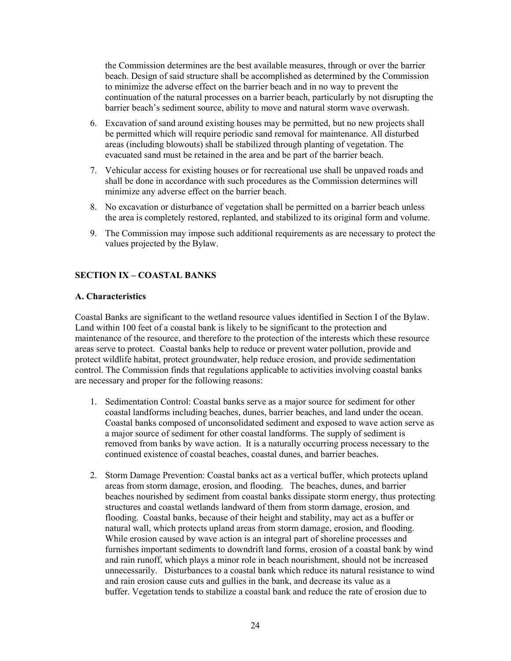the Commission determines are the best available measures, through or over the barrier beach. Design of said structure shall be accomplished as determined by the Commission to minimize the adverse effect on the barrier beach and in no way to prevent the continuation of the natural processes on a barrier beach, particularly by not disrupting the barrier beach's sediment source, ability to move and natural storm wave overwash.

- 6. Excavation of sand around existing houses may be permitted, but no new projects shall be permitted which will require periodic sand removal for maintenance. All disturbed areas (including blowouts) shall be stabilized through planting of vegetation. The evacuated sand must be retained in the area and be part of the barrier beach.
- 7. Vehicular access for existing houses or for recreational use shall be unpaved roads and shall be done in accordance with such procedures as the Commission determines will minimize any adverse effect on the barrier beach.
- 8. No excavation or disturbance of vegetation shall be permitted on a barrier beach unless the area is completely restored, replanted, and stabilized to its original form and volume.
- 9. The Commission may impose such additional requirements as are necessary to protect the values projected by the Bylaw.

# SECTION IX – COASTAL BANKS

#### A. Characteristics

Coastal Banks are significant to the wetland resource values identified in Section I of the Bylaw. Land within 100 feet of a coastal bank is likely to be significant to the protection and maintenance of the resource, and therefore to the protection of the interests which these resource areas serve to protect. Coastal banks help to reduce or prevent water pollution, provide and protect wildlife habitat, protect groundwater, help reduce erosion, and provide sedimentation control. The Commission finds that regulations applicable to activities involving coastal banks are necessary and proper for the following reasons:

- 1. Sedimentation Control: Coastal banks serve as a major source for sediment for other coastal landforms including beaches, dunes, barrier beaches, and land under the ocean. Coastal banks composed of unconsolidated sediment and exposed to wave action serve as a major source of sediment for other coastal landforms. The supply of sediment is removed from banks by wave action. It is a naturally occurring process necessary to the continued existence of coastal beaches, coastal dunes, and barrier beaches.
- 2. Storm Damage Prevention: Coastal banks act as a vertical buffer, which protects upland areas from storm damage, erosion, and flooding. The beaches, dunes, and barrier beaches nourished by sediment from coastal banks dissipate storm energy, thus protecting structures and coastal wetlands landward of them from storm damage, erosion, and flooding. Coastal banks, because of their height and stability, may act as a buffer or natural wall, which protects upland areas from storm damage, erosion, and flooding. While erosion caused by wave action is an integral part of shoreline processes and furnishes important sediments to downdrift land forms, erosion of a coastal bank by wind and rain runoff, which plays a minor role in beach nourishment, should not be increased unnecessarily. Disturbances to a coastal bank which reduce its natural resistance to wind and rain erosion cause cuts and gullies in the bank, and decrease its value as a buffer. Vegetation tends to stabilize a coastal bank and reduce the rate of erosion due to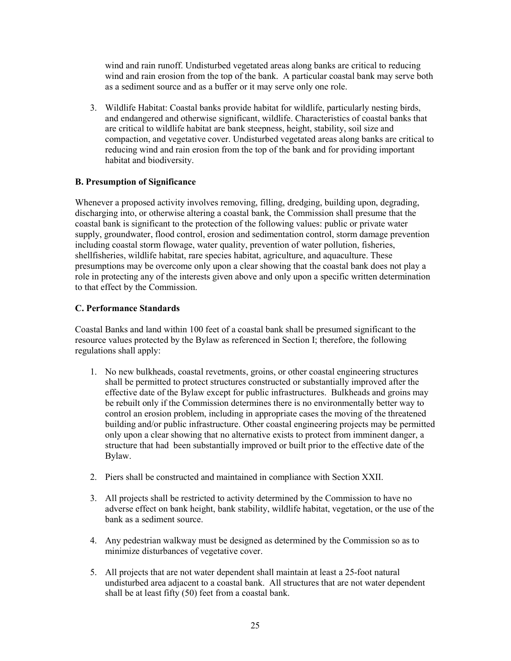wind and rain runoff. Undisturbed vegetated areas along banks are critical to reducing wind and rain erosion from the top of the bank. A particular coastal bank may serve both as a sediment source and as a buffer or it may serve only one role.

3. Wildlife Habitat: Coastal banks provide habitat for wildlife, particularly nesting birds, and endangered and otherwise significant, wildlife. Characteristics of coastal banks that are critical to wildlife habitat are bank steepness, height, stability, soil size and compaction, and vegetative cover. Undisturbed vegetated areas along banks are critical to reducing wind and rain erosion from the top of the bank and for providing important habitat and biodiversity.

# B. Presumption of Significance

Whenever a proposed activity involves removing, filling, dredging, building upon, degrading, discharging into, or otherwise altering a coastal bank, the Commission shall presume that the coastal bank is significant to the protection of the following values: public or private water supply, groundwater, flood control, erosion and sedimentation control, storm damage prevention including coastal storm flowage, water quality, prevention of water pollution, fisheries, shellfisheries, wildlife habitat, rare species habitat, agriculture, and aquaculture. These presumptions may be overcome only upon a clear showing that the coastal bank does not play a role in protecting any of the interests given above and only upon a specific written determination to that effect by the Commission.

### C. Performance Standards

Coastal Banks and land within 100 feet of a coastal bank shall be presumed significant to the resource values protected by the Bylaw as referenced in Section I; therefore, the following regulations shall apply:

- 1. No new bulkheads, coastal revetments, groins, or other coastal engineering structures shall be permitted to protect structures constructed or substantially improved after the effective date of the Bylaw except for public infrastructures. Bulkheads and groins may be rebuilt only if the Commission determines there is no environmentally better way to control an erosion problem, including in appropriate cases the moving of the threatened building and/or public infrastructure. Other coastal engineering projects may be permitted only upon a clear showing that no alternative exists to protect from imminent danger, a structure that had been substantially improved or built prior to the effective date of the Bylaw.
- 2. Piers shall be constructed and maintained in compliance with Section XXII.
- 3. All projects shall be restricted to activity determined by the Commission to have no adverse effect on bank height, bank stability, wildlife habitat, vegetation, or the use of the bank as a sediment source.
- 4. Any pedestrian walkway must be designed as determined by the Commission so as to minimize disturbances of vegetative cover.
- 5. All projects that are not water dependent shall maintain at least a 25-foot natural undisturbed area adjacent to a coastal bank. All structures that are not water dependent shall be at least fifty (50) feet from a coastal bank.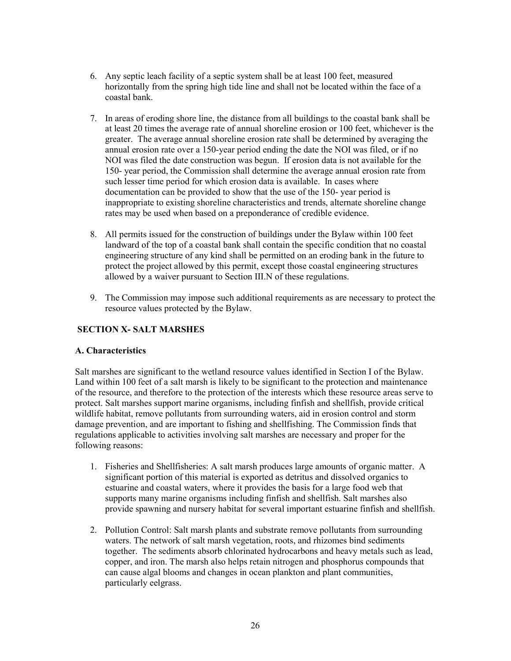- 6. Any septic leach facility of a septic system shall be at least 100 feet, measured horizontally from the spring high tide line and shall not be located within the face of a coastal bank.
- 7. In areas of eroding shore line, the distance from all buildings to the coastal bank shall be at least 20 times the average rate of annual shoreline erosion or 100 feet, whichever is the greater. The average annual shoreline erosion rate shall be determined by averaging the annual erosion rate over a 150-year period ending the date the NOI was filed, or if no NOI was filed the date construction was begun. If erosion data is not available for the 150- year period, the Commission shall determine the average annual erosion rate from such lesser time period for which erosion data is available. In cases where documentation can be provided to show that the use of the 150- year period is inappropriate to existing shoreline characteristics and trends, alternate shoreline change rates may be used when based on a preponderance of credible evidence.
- 8. All permits issued for the construction of buildings under the Bylaw within 100 feet landward of the top of a coastal bank shall contain the specific condition that no coastal engineering structure of any kind shall be permitted on an eroding bank in the future to protect the project allowed by this permit, except those coastal engineering structures allowed by a waiver pursuant to Section III.N of these regulations.
- 9. The Commission may impose such additional requirements as are necessary to protect the resource values protected by the Bylaw.

# SECTION X- SALT MARSHES

#### A. Characteristics

Salt marshes are significant to the wetland resource values identified in Section I of the Bylaw. Land within 100 feet of a salt marsh is likely to be significant to the protection and maintenance of the resource, and therefore to the protection of the interests which these resource areas serve to protect. Salt marshes support marine organisms, including finfish and shellfish, provide critical wildlife habitat, remove pollutants from surrounding waters, aid in erosion control and storm damage prevention, and are important to fishing and shellfishing. The Commission finds that regulations applicable to activities involving salt marshes are necessary and proper for the following reasons:

- 1. Fisheries and Shellfisheries: A salt marsh produces large amounts of organic matter. A significant portion of this material is exported as detritus and dissolved organics to estuarine and coastal waters, where it provides the basis for a large food web that supports many marine organisms including finfish and shellfish. Salt marshes also provide spawning and nursery habitat for several important estuarine finfish and shellfish.
- 2. Pollution Control: Salt marsh plants and substrate remove pollutants from surrounding waters. The network of salt marsh vegetation, roots, and rhizomes bind sediments together. The sediments absorb chlorinated hydrocarbons and heavy metals such as lead, copper, and iron. The marsh also helps retain nitrogen and phosphorus compounds that can cause algal blooms and changes in ocean plankton and plant communities, particularly eelgrass.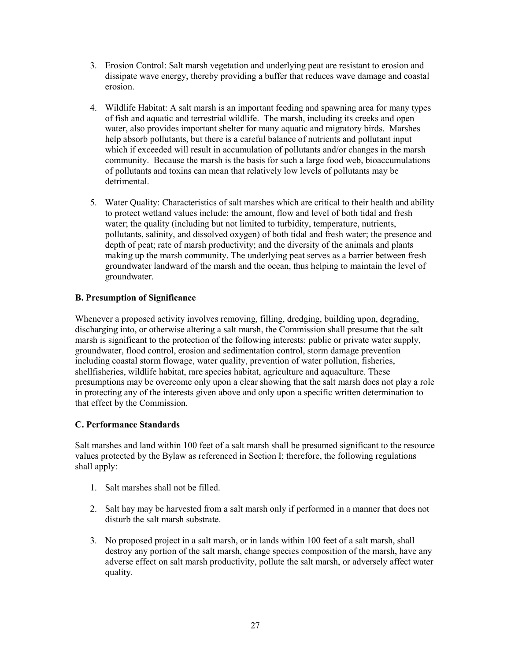- 3. Erosion Control: Salt marsh vegetation and underlying peat are resistant to erosion and dissipate wave energy, thereby providing a buffer that reduces wave damage and coastal erosion.
- 4. Wildlife Habitat: A salt marsh is an important feeding and spawning area for many types of fish and aquatic and terrestrial wildlife. The marsh, including its creeks and open water, also provides important shelter for many aquatic and migratory birds. Marshes help absorb pollutants, but there is a careful balance of nutrients and pollutant input which if exceeded will result in accumulation of pollutants and/or changes in the marsh community. Because the marsh is the basis for such a large food web, bioaccumulations of pollutants and toxins can mean that relatively low levels of pollutants may be detrimental.
- 5. Water Quality: Characteristics of salt marshes which are critical to their health and ability to protect wetland values include: the amount, flow and level of both tidal and fresh water; the quality (including but not limited to turbidity, temperature, nutrients, pollutants, salinity, and dissolved oxygen) of both tidal and fresh water; the presence and depth of peat; rate of marsh productivity; and the diversity of the animals and plants making up the marsh community. The underlying peat serves as a barrier between fresh groundwater landward of the marsh and the ocean, thus helping to maintain the level of groundwater.

# B. Presumption of Significance

Whenever a proposed activity involves removing, filling, dredging, building upon, degrading, discharging into, or otherwise altering a salt marsh, the Commission shall presume that the salt marsh is significant to the protection of the following interests: public or private water supply, groundwater, flood control, erosion and sedimentation control, storm damage prevention including coastal storm flowage, water quality, prevention of water pollution, fisheries, shellfisheries, wildlife habitat, rare species habitat, agriculture and aquaculture. These presumptions may be overcome only upon a clear showing that the salt marsh does not play a role in protecting any of the interests given above and only upon a specific written determination to that effect by the Commission.

# C. Performance Standards

Salt marshes and land within 100 feet of a salt marsh shall be presumed significant to the resource values protected by the Bylaw as referenced in Section I; therefore, the following regulations shall apply:

- 1. Salt marshes shall not be filled.
- 2. Salt hay may be harvested from a salt marsh only if performed in a manner that does not disturb the salt marsh substrate.
- 3. No proposed project in a salt marsh, or in lands within 100 feet of a salt marsh, shall destroy any portion of the salt marsh, change species composition of the marsh, have any adverse effect on salt marsh productivity, pollute the salt marsh, or adversely affect water quality.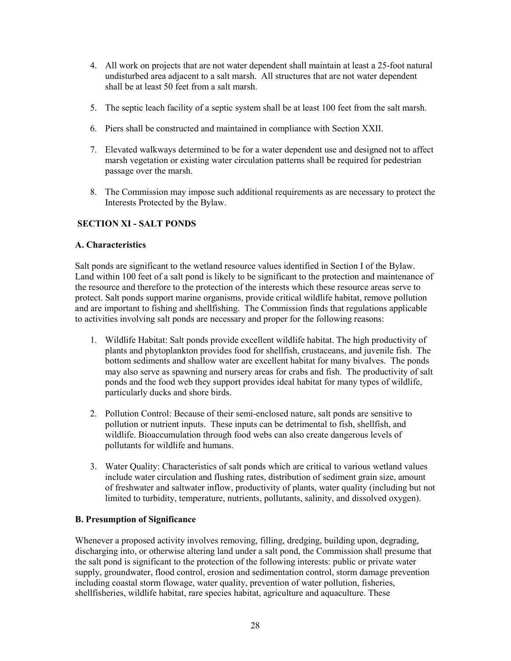- 4. All work on projects that are not water dependent shall maintain at least a 25-foot natural undisturbed area adjacent to a salt marsh. All structures that are not water dependent shall be at least 50 feet from a salt marsh.
- 5. The septic leach facility of a septic system shall be at least 100 feet from the salt marsh.
- 6. Piers shall be constructed and maintained in compliance with Section XXII.
- 7. Elevated walkways determined to be for a water dependent use and designed not to affect marsh vegetation or existing water circulation patterns shall be required for pedestrian passage over the marsh.
- 8. The Commission may impose such additional requirements as are necessary to protect the Interests Protected by the Bylaw.

# SECTION XI - SALT PONDS

#### A. Characteristics

Salt ponds are significant to the wetland resource values identified in Section I of the Bylaw. Land within 100 feet of a salt pond is likely to be significant to the protection and maintenance of the resource and therefore to the protection of the interests which these resource areas serve to protect. Salt ponds support marine organisms, provide critical wildlife habitat, remove pollution and are important to fishing and shellfishing. The Commission finds that regulations applicable to activities involving salt ponds are necessary and proper for the following reasons:

- 1. Wildlife Habitat: Salt ponds provide excellent wildlife habitat. The high productivity of plants and phytoplankton provides food for shellfish, crustaceans, and juvenile fish. The bottom sediments and shallow water are excellent habitat for many bivalves. The ponds may also serve as spawning and nursery areas for crabs and fish. The productivity of salt ponds and the food web they support provides ideal habitat for many types of wildlife, particularly ducks and shore birds.
- 2. Pollution Control: Because of their semi-enclosed nature, salt ponds are sensitive to pollution or nutrient inputs. These inputs can be detrimental to fish, shellfish, and wildlife. Bioaccumulation through food webs can also create dangerous levels of pollutants for wildlife and humans.
- 3. Water Quality: Characteristics of salt ponds which are critical to various wetland values include water circulation and flushing rates, distribution of sediment grain size, amount of freshwater and saltwater inflow, productivity of plants, water quality (including but not limited to turbidity, temperature, nutrients, pollutants, salinity, and dissolved oxygen).

#### B. Presumption of Significance

Whenever a proposed activity involves removing, filling, dredging, building upon, degrading, discharging into, or otherwise altering land under a salt pond, the Commission shall presume that the salt pond is significant to the protection of the following interests: public or private water supply, groundwater, flood control, erosion and sedimentation control, storm damage prevention including coastal storm flowage, water quality, prevention of water pollution, fisheries, shellfisheries, wildlife habitat, rare species habitat, agriculture and aquaculture. These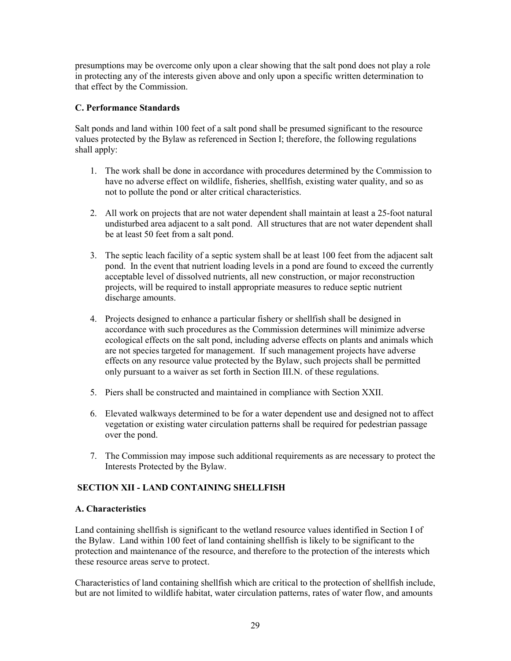presumptions may be overcome only upon a clear showing that the salt pond does not play a role in protecting any of the interests given above and only upon a specific written determination to that effect by the Commission.

# C. Performance Standards

Salt ponds and land within 100 feet of a salt pond shall be presumed significant to the resource values protected by the Bylaw as referenced in Section I; therefore, the following regulations shall apply:

- 1. The work shall be done in accordance with procedures determined by the Commission to have no adverse effect on wildlife, fisheries, shellfish, existing water quality, and so as not to pollute the pond or alter critical characteristics.
- 2. All work on projects that are not water dependent shall maintain at least a 25-foot natural undisturbed area adjacent to a salt pond. All structures that are not water dependent shall be at least 50 feet from a salt pond.
- 3. The septic leach facility of a septic system shall be at least 100 feet from the adjacent salt pond. In the event that nutrient loading levels in a pond are found to exceed the currently acceptable level of dissolved nutrients, all new construction, or major reconstruction projects, will be required to install appropriate measures to reduce septic nutrient discharge amounts.
- 4. Projects designed to enhance a particular fishery or shellfish shall be designed in accordance with such procedures as the Commission determines will minimize adverse ecological effects on the salt pond, including adverse effects on plants and animals which are not species targeted for management. If such management projects have adverse effects on any resource value protected by the Bylaw, such projects shall be permitted only pursuant to a waiver as set forth in Section III.N. of these regulations.
- 5. Piers shall be constructed and maintained in compliance with Section XXII.
- 6. Elevated walkways determined to be for a water dependent use and designed not to affect vegetation or existing water circulation patterns shall be required for pedestrian passage over the pond.
- 7. The Commission may impose such additional requirements as are necessary to protect the Interests Protected by the Bylaw.

# SECTION XII - LAND CONTAINING SHELLFISH

#### A. Characteristics

Land containing shellfish is significant to the wetland resource values identified in Section I of the Bylaw. Land within 100 feet of land containing shellfish is likely to be significant to the protection and maintenance of the resource, and therefore to the protection of the interests which these resource areas serve to protect.

Characteristics of land containing shellfish which are critical to the protection of shellfish include, but are not limited to wildlife habitat, water circulation patterns, rates of water flow, and amounts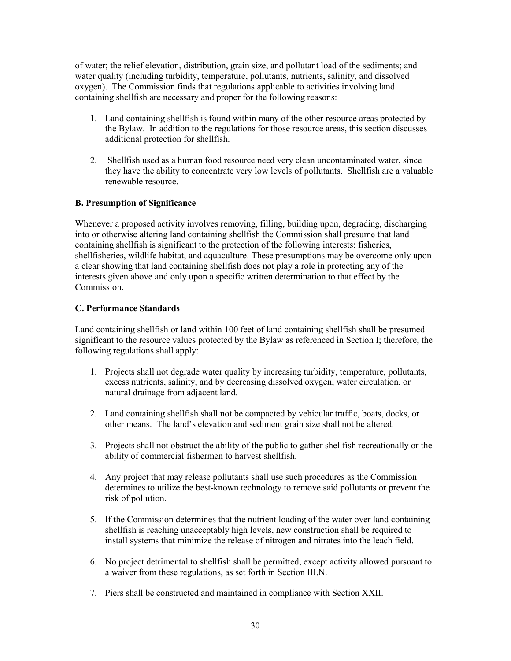of water; the relief elevation, distribution, grain size, and pollutant load of the sediments; and water quality (including turbidity, temperature, pollutants, nutrients, salinity, and dissolved oxygen). The Commission finds that regulations applicable to activities involving land containing shellfish are necessary and proper for the following reasons:

- 1. Land containing shellfish is found within many of the other resource areas protected by the Bylaw. In addition to the regulations for those resource areas, this section discusses additional protection for shellfish.
- 2. Shellfish used as a human food resource need very clean uncontaminated water, since they have the ability to concentrate very low levels of pollutants. Shellfish are a valuable renewable resource.

### B. Presumption of Significance

Whenever a proposed activity involves removing, filling, building upon, degrading, discharging into or otherwise altering land containing shellfish the Commission shall presume that land containing shellfish is significant to the protection of the following interests: fisheries, shellfisheries, wildlife habitat, and aquaculture. These presumptions may be overcome only upon a clear showing that land containing shellfish does not play a role in protecting any of the interests given above and only upon a specific written determination to that effect by the Commission.

### C. Performance Standards

Land containing shellfish or land within 100 feet of land containing shellfish shall be presumed significant to the resource values protected by the Bylaw as referenced in Section I; therefore, the following regulations shall apply:

- 1. Projects shall not degrade water quality by increasing turbidity, temperature, pollutants, excess nutrients, salinity, and by decreasing dissolved oxygen, water circulation, or natural drainage from adjacent land.
- 2. Land containing shellfish shall not be compacted by vehicular traffic, boats, docks, or other means. The land's elevation and sediment grain size shall not be altered.
- 3. Projects shall not obstruct the ability of the public to gather shellfish recreationally or the ability of commercial fishermen to harvest shellfish.
- 4. Any project that may release pollutants shall use such procedures as the Commission determines to utilize the best-known technology to remove said pollutants or prevent the risk of pollution.
- 5. If the Commission determines that the nutrient loading of the water over land containing shellfish is reaching unacceptably high levels, new construction shall be required to install systems that minimize the release of nitrogen and nitrates into the leach field.
- 6. No project detrimental to shellfish shall be permitted, except activity allowed pursuant to a waiver from these regulations, as set forth in Section III.N.
- 7. Piers shall be constructed and maintained in compliance with Section XXII.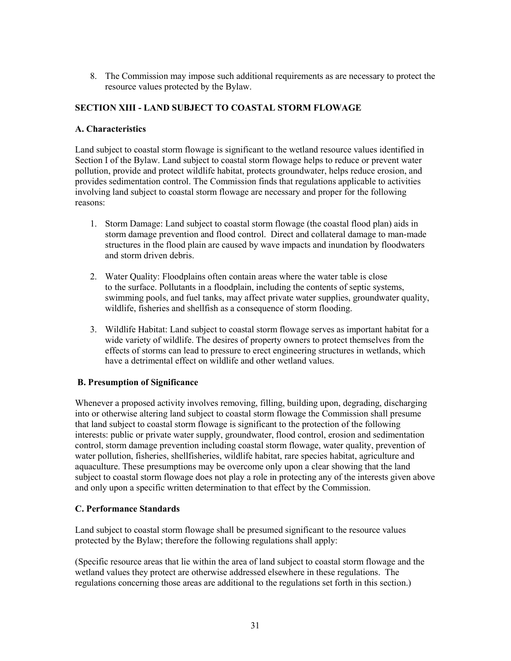8. The Commission may impose such additional requirements as are necessary to protect the resource values protected by the Bylaw.

# SECTION XIII - LAND SUBJECT TO COASTAL STORM FLOWAGE

#### A. Characteristics

Land subject to coastal storm flowage is significant to the wetland resource values identified in Section I of the Bylaw. Land subject to coastal storm flowage helps to reduce or prevent water pollution, provide and protect wildlife habitat, protects groundwater, helps reduce erosion, and provides sedimentation control. The Commission finds that regulations applicable to activities involving land subject to coastal storm flowage are necessary and proper for the following reasons:

- 1. Storm Damage: Land subject to coastal storm flowage (the coastal flood plan) aids in storm damage prevention and flood control. Direct and collateral damage to man-made structures in the flood plain are caused by wave impacts and inundation by floodwaters and storm driven debris.
- 2. Water Quality: Floodplains often contain areas where the water table is close to the surface. Pollutants in a floodplain, including the contents of septic systems, swimming pools, and fuel tanks, may affect private water supplies, groundwater quality, wildlife, fisheries and shellfish as a consequence of storm flooding.
- 3. Wildlife Habitat: Land subject to coastal storm flowage serves as important habitat for a wide variety of wildlife. The desires of property owners to protect themselves from the effects of storms can lead to pressure to erect engineering structures in wetlands, which have a detrimental effect on wildlife and other wetland values.

#### B. Presumption of Significance

Whenever a proposed activity involves removing, filling, building upon, degrading, discharging into or otherwise altering land subject to coastal storm flowage the Commission shall presume that land subject to coastal storm flowage is significant to the protection of the following interests: public or private water supply, groundwater, flood control, erosion and sedimentation control, storm damage prevention including coastal storm flowage, water quality, prevention of water pollution, fisheries, shellfisheries, wildlife habitat, rare species habitat, agriculture and aquaculture. These presumptions may be overcome only upon a clear showing that the land subject to coastal storm flowage does not play a role in protecting any of the interests given above and only upon a specific written determination to that effect by the Commission.

#### C. Performance Standards

Land subject to coastal storm flowage shall be presumed significant to the resource values protected by the Bylaw; therefore the following regulations shall apply:

(Specific resource areas that lie within the area of land subject to coastal storm flowage and the wetland values they protect are otherwise addressed elsewhere in these regulations. The regulations concerning those areas are additional to the regulations set forth in this section.)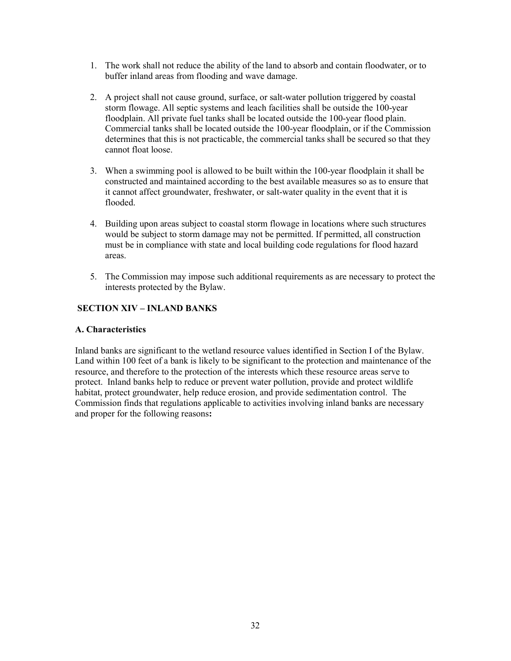- 1. The work shall not reduce the ability of the land to absorb and contain floodwater, or to buffer inland areas from flooding and wave damage.
- 2. A project shall not cause ground, surface, or salt-water pollution triggered by coastal storm flowage. All septic systems and leach facilities shall be outside the 100-year floodplain. All private fuel tanks shall be located outside the 100-year flood plain. Commercial tanks shall be located outside the 100-year floodplain, or if the Commission determines that this is not practicable, the commercial tanks shall be secured so that they cannot float loose.
- 3. When a swimming pool is allowed to be built within the 100-year floodplain it shall be constructed and maintained according to the best available measures so as to ensure that it cannot affect groundwater, freshwater, or salt-water quality in the event that it is flooded.
- 4. Building upon areas subject to coastal storm flowage in locations where such structures would be subject to storm damage may not be permitted. If permitted, all construction must be in compliance with state and local building code regulations for flood hazard areas.
- 5. The Commission may impose such additional requirements as are necessary to protect the interests protected by the Bylaw.

# SECTION XIV – INLAND BANKS

#### A. Characteristics

Inland banks are significant to the wetland resource values identified in Section I of the Bylaw. Land within 100 feet of a bank is likely to be significant to the protection and maintenance of the resource, and therefore to the protection of the interests which these resource areas serve to protect. Inland banks help to reduce or prevent water pollution, provide and protect wildlife habitat, protect groundwater, help reduce erosion, and provide sedimentation control. The Commission finds that regulations applicable to activities involving inland banks are necessary and proper for the following reasons: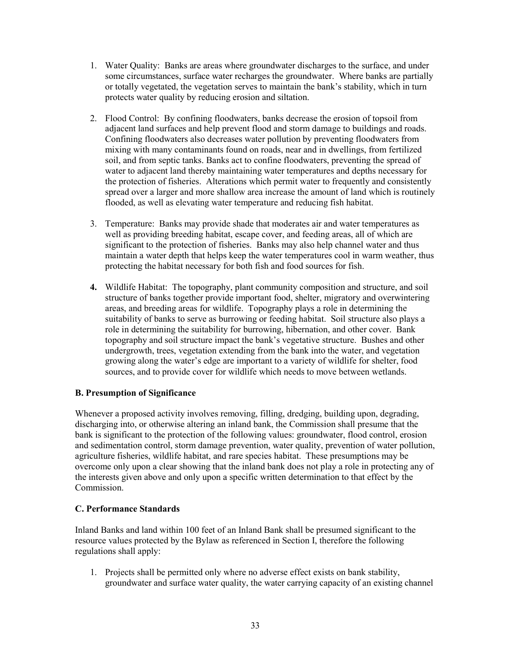- 1. Water Quality: Banks are areas where groundwater discharges to the surface, and under some circumstances, surface water recharges the groundwater. Where banks are partially or totally vegetated, the vegetation serves to maintain the bank's stability, which in turn protects water quality by reducing erosion and siltation.
- 2. Flood Control: By confining floodwaters, banks decrease the erosion of topsoil from adjacent land surfaces and help prevent flood and storm damage to buildings and roads. Confining floodwaters also decreases water pollution by preventing floodwaters from mixing with many contaminants found on roads, near and in dwellings, from fertilized soil, and from septic tanks. Banks act to confine floodwaters, preventing the spread of water to adjacent land thereby maintaining water temperatures and depths necessary for the protection of fisheries. Alterations which permit water to frequently and consistently spread over a larger and more shallow area increase the amount of land which is routinely flooded, as well as elevating water temperature and reducing fish habitat.
- 3. Temperature: Banks may provide shade that moderates air and water temperatures as well as providing breeding habitat, escape cover, and feeding areas, all of which are significant to the protection of fisheries. Banks may also help channel water and thus maintain a water depth that helps keep the water temperatures cool in warm weather, thus protecting the habitat necessary for both fish and food sources for fish.
- 4. Wildlife Habitat: The topography, plant community composition and structure, and soil structure of banks together provide important food, shelter, migratory and overwintering areas, and breeding areas for wildlife. Topography plays a role in determining the suitability of banks to serve as burrowing or feeding habitat. Soil structure also plays a role in determining the suitability for burrowing, hibernation, and other cover. Bank topography and soil structure impact the bank's vegetative structure. Bushes and other undergrowth, trees, vegetation extending from the bank into the water, and vegetation growing along the water's edge are important to a variety of wildlife for shelter, food sources, and to provide cover for wildlife which needs to move between wetlands.

# B. Presumption of Significance

Whenever a proposed activity involves removing, filling, dredging, building upon, degrading, discharging into, or otherwise altering an inland bank, the Commission shall presume that the bank is significant to the protection of the following values: groundwater, flood control, erosion and sedimentation control, storm damage prevention, water quality, prevention of water pollution, agriculture fisheries, wildlife habitat, and rare species habitat. These presumptions may be overcome only upon a clear showing that the inland bank does not play a role in protecting any of the interests given above and only upon a specific written determination to that effect by the Commission.

# C. Performance Standards

Inland Banks and land within 100 feet of an Inland Bank shall be presumed significant to the resource values protected by the Bylaw as referenced in Section I, therefore the following regulations shall apply:

1. Projects shall be permitted only where no adverse effect exists on bank stability, groundwater and surface water quality, the water carrying capacity of an existing channel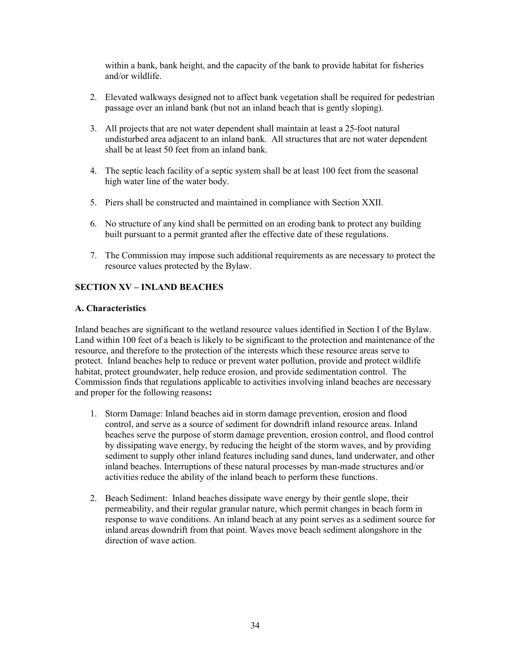within a bank, bank height, and the capacity of the bank to provide habitat for fisheries and/or wildlife.

- 2. Elevated walkways designed not to affect bank vegetation shall be required for pedestrian passage over an inland bank (but not an inland beach that is gently sloping).
- 3. All projects that are not water dependent shall maintain at least a 25-foot natural undisturbed area adjacent to an inland bank. All structures that are not water dependent shall be at least 50 feet from an inland bank.
- 4. The septic leach facility of a septic system shall be at least 100 feet from the seasonal high water line of the water body.
- 5. Piers shall be constructed and maintained in compliance with Section XXII.
- 6. No structure of any kind shall be permitted on an eroding bank to protect any building built pursuant to a permit granted after the effective date of these regulations.
- 7. The Commission may impose such additional requirements as are necessary to protect the resource values protected by the Bylaw.

# SECTION XV – INLAND BEACHES

#### A. Characteristics

Inland beaches are significant to the wetland resource values identified in Section I of the Bylaw. Land within 100 feet of a beach is likely to be significant to the protection and maintenance of the resource, and therefore to the protection of the interests which these resource areas serve to protect. Inland beaches help to reduce or prevent water pollution, provide and protect wildlife habitat, protect groundwater, help reduce erosion, and provide sedimentation control. The Commission finds that regulations applicable to activities involving inland beaches are necessary and proper for the following reasons:

- 1. Storm Damage: Inland beaches aid in storm damage prevention, erosion and flood control, and serve as a source of sediment for downdrift inland resource areas. Inland beaches serve the purpose of storm damage prevention, erosion control, and flood control by dissipating wave energy, by reducing the height of the storm waves, and by providing sediment to supply other inland features including sand dunes, land underwater, and other inland beaches. Interruptions of these natural processes by man-made structures and/or activities reduce the ability of the inland beach to perform these functions.
- 2. Beach Sediment: Inland beaches dissipate wave energy by their gentle slope, their permeability, and their regular granular nature, which permit changes in beach form in response to wave conditions. An inland beach at any point serves as a sediment source for inland areas downdrift from that point. Waves move beach sediment alongshore in the direction of wave action.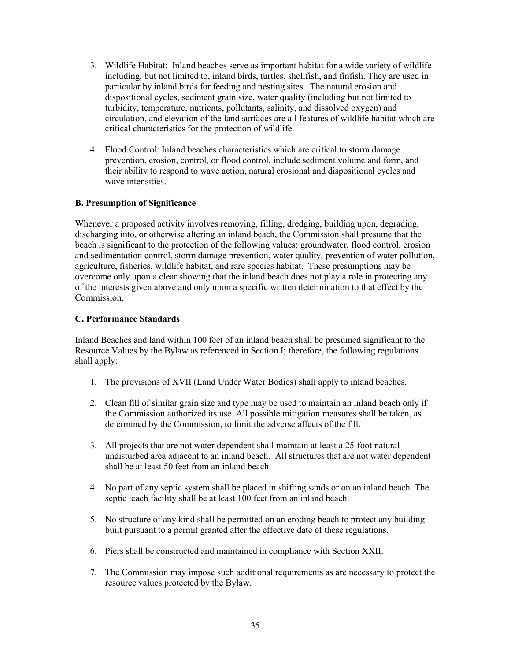- 3. Wildlife Habitat: Inland beaches serve as important habitat for a wide variety of wildlife including, but not limited to, inland birds, turtles, shellfish, and finfish. They are used in particular by inland birds for feeding and nesting sites. The natural erosion and dispositional cycles, sediment grain size, water quality (including but not limited to turbidity, temperature, nutrients, pollutants, salinity, and dissolved oxygen) and circulation, and elevation of the land surfaces are all features of wildlife habitat which are critical characteristics for the protection of wildlife.
- 4. Flood Control: Inland beaches characteristics which are critical to storm damage prevention, erosion, control, or flood control, include sediment volume and form, and their ability to respond to wave action, natural erosional and dispositional cycles and wave intensities.

### B. Presumption of Significance

Whenever a proposed activity involves removing, filling, dredging, building upon, degrading, discharging into, or otherwise altering an inland beach, the Commission shall presume that the beach is significant to the protection of the following values: groundwater, flood control, erosion and sedimentation control, storm damage prevention, water quality, prevention of water pollution, agriculture, fisheries, wildlife habitat, and rare species habitat. These presumptions may be overcome only upon a clear showing that the inland beach does not play a role in protecting any of the interests given above and only upon a specific written determination to that effect by the Commission.

# C. Performance Standards

Inland Beaches and land within 100 feet of an inland beach shall be presumed significant to the Resource Values by the Bylaw as referenced in Section I; therefore, the following regulations shall apply:

- 1. The provisions of XVII (Land Under Water Bodies) shall apply to inland beaches.
- 2. Clean fill of similar grain size and type may be used to maintain an inland beach only if the Commission authorized its use. All possible mitigation measures shall be taken, as determined by the Commission, to limit the adverse affects of the fill.
- 3. All projects that are not water dependent shall maintain at least a 25-foot natural undisturbed area adjacent to an inland beach. All structures that are not water dependent shall be at least 50 feet from an inland beach.
- 4. No part of any septic system shall be placed in shifting sands or on an inland beach. The septic leach facility shall be at least 100 feet from an inland beach.
- 5. No structure of any kind shall be permitted on an eroding beach to protect any building built pursuant to a permit granted after the effective date of these regulations.
- 6. Piers shall be constructed and maintained in compliance with Section XXII.
- 7. The Commission may impose such additional requirements as are necessary to protect the resource values protected by the Bylaw.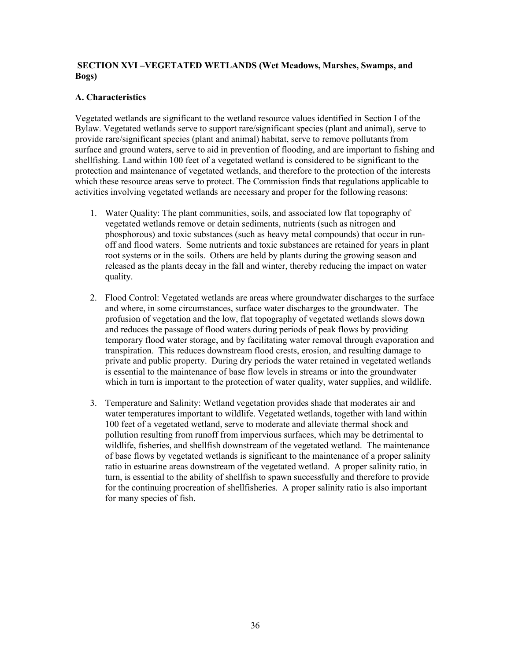#### SECTION XVI –VEGETATED WETLANDS (Wet Meadows, Marshes, Swamps, and Bogs)

### A. Characteristics

Vegetated wetlands are significant to the wetland resource values identified in Section I of the Bylaw. Vegetated wetlands serve to support rare/significant species (plant and animal), serve to provide rare/significant species (plant and animal) habitat, serve to remove pollutants from surface and ground waters, serve to aid in prevention of flooding, and are important to fishing and shellfishing. Land within 100 feet of a vegetated wetland is considered to be significant to the protection and maintenance of vegetated wetlands, and therefore to the protection of the interests which these resource areas serve to protect. The Commission finds that regulations applicable to activities involving vegetated wetlands are necessary and proper for the following reasons:

- 1. Water Quality: The plant communities, soils, and associated low flat topography of vegetated wetlands remove or detain sediments, nutrients (such as nitrogen and phosphorous) and toxic substances (such as heavy metal compounds) that occur in runoff and flood waters. Some nutrients and toxic substances are retained for years in plant root systems or in the soils. Others are held by plants during the growing season and released as the plants decay in the fall and winter, thereby reducing the impact on water quality.
- 2. Flood Control: Vegetated wetlands are areas where groundwater discharges to the surface and where, in some circumstances, surface water discharges to the groundwater. The profusion of vegetation and the low, flat topography of vegetated wetlands slows down and reduces the passage of flood waters during periods of peak flows by providing temporary flood water storage, and by facilitating water removal through evaporation and transpiration. This reduces downstream flood crests, erosion, and resulting damage to private and public property. During dry periods the water retained in vegetated wetlands is essential to the maintenance of base flow levels in streams or into the groundwater which in turn is important to the protection of water quality, water supplies, and wildlife.
- 3. Temperature and Salinity: Wetland vegetation provides shade that moderates air and water temperatures important to wildlife. Vegetated wetlands, together with land within 100 feet of a vegetated wetland, serve to moderate and alleviate thermal shock and pollution resulting from runoff from impervious surfaces, which may be detrimental to wildlife, fisheries, and shellfish downstream of the vegetated wetland. The maintenance of base flows by vegetated wetlands is significant to the maintenance of a proper salinity ratio in estuarine areas downstream of the vegetated wetland. A proper salinity ratio, in turn, is essential to the ability of shellfish to spawn successfully and therefore to provide for the continuing procreation of shellfisheries. A proper salinity ratio is also important for many species of fish.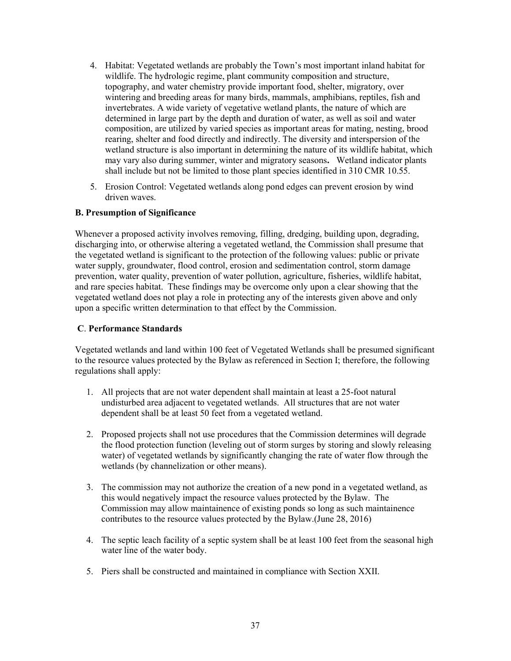- 4. Habitat: Vegetated wetlands are probably the Town's most important inland habitat for wildlife. The hydrologic regime, plant community composition and structure, topography, and water chemistry provide important food, shelter, migratory, over wintering and breeding areas for many birds, mammals, amphibians, reptiles, fish and invertebrates. A wide variety of vegetative wetland plants, the nature of which are determined in large part by the depth and duration of water, as well as soil and water composition, are utilized by varied species as important areas for mating, nesting, brood rearing, shelter and food directly and indirectly. The diversity and interspersion of the wetland structure is also important in determining the nature of its wildlife habitat, which may vary also during summer, winter and migratory seasons. Wetland indicator plants shall include but not be limited to those plant species identified in 310 CMR 10.55.
- 5. Erosion Control: Vegetated wetlands along pond edges can prevent erosion by wind driven waves.

### B. Presumption of Significance

Whenever a proposed activity involves removing, filling, dredging, building upon, degrading, discharging into, or otherwise altering a vegetated wetland, the Commission shall presume that the vegetated wetland is significant to the protection of the following values: public or private water supply, groundwater, flood control, erosion and sedimentation control, storm damage prevention, water quality, prevention of water pollution, agriculture, fisheries, wildlife habitat, and rare species habitat. These findings may be overcome only upon a clear showing that the vegetated wetland does not play a role in protecting any of the interests given above and only upon a specific written determination to that effect by the Commission.

#### C. Performance Standards

Vegetated wetlands and land within 100 feet of Vegetated Wetlands shall be presumed significant to the resource values protected by the Bylaw as referenced in Section I; therefore, the following regulations shall apply:

- 1. All projects that are not water dependent shall maintain at least a 25-foot natural undisturbed area adjacent to vegetated wetlands. All structures that are not water dependent shall be at least 50 feet from a vegetated wetland.
- 2. Proposed projects shall not use procedures that the Commission determines will degrade the flood protection function (leveling out of storm surges by storing and slowly releasing water) of vegetated wetlands by significantly changing the rate of water flow through the wetlands (by channelization or other means).
- 3. The commission may not authorize the creation of a new pond in a vegetated wetland, as this would negatively impact the resource values protected by the Bylaw. The Commission may allow maintainence of existing ponds so long as such maintainence contributes to the resource values protected by the Bylaw.(June 28, 2016)
- 4. The septic leach facility of a septic system shall be at least 100 feet from the seasonal high water line of the water body.
- 5. Piers shall be constructed and maintained in compliance with Section XXII.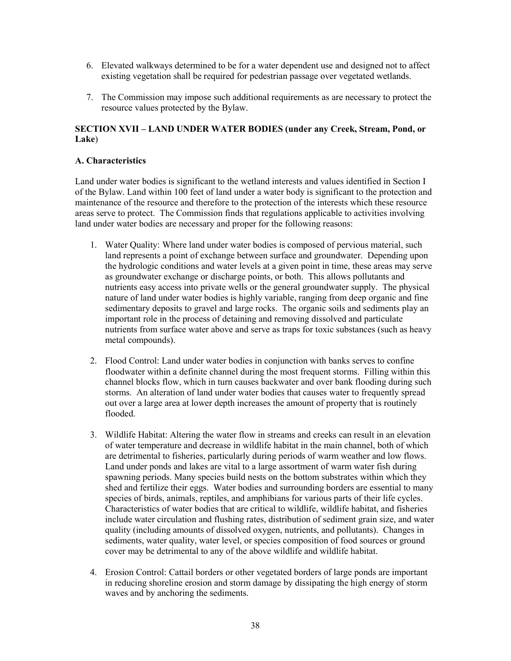- 6. Elevated walkways determined to be for a water dependent use and designed not to affect existing vegetation shall be required for pedestrian passage over vegetated wetlands.
- 7. The Commission may impose such additional requirements as are necessary to protect the resource values protected by the Bylaw.

#### SECTION XVII – LAND UNDER WATER BODIES (under any Creek, Stream, Pond, or Lake)

#### A. Characteristics

Land under water bodies is significant to the wetland interests and values identified in Section I of the Bylaw. Land within 100 feet of land under a water body is significant to the protection and maintenance of the resource and therefore to the protection of the interests which these resource areas serve to protect. The Commission finds that regulations applicable to activities involving land under water bodies are necessary and proper for the following reasons:

- 1. Water Quality: Where land under water bodies is composed of pervious material, such land represents a point of exchange between surface and groundwater. Depending upon the hydrologic conditions and water levels at a given point in time, these areas may serve as groundwater exchange or discharge points, or both. This allows pollutants and nutrients easy access into private wells or the general groundwater supply. The physical nature of land under water bodies is highly variable, ranging from deep organic and fine sedimentary deposits to gravel and large rocks. The organic soils and sediments play an important role in the process of detaining and removing dissolved and particulate nutrients from surface water above and serve as traps for toxic substances (such as heavy metal compounds).
- 2. Flood Control: Land under water bodies in conjunction with banks serves to confine floodwater within a definite channel during the most frequent storms. Filling within this channel blocks flow, which in turn causes backwater and over bank flooding during such storms. An alteration of land under water bodies that causes water to frequently spread out over a large area at lower depth increases the amount of property that is routinely flooded.
- 3. Wildlife Habitat: Altering the water flow in streams and creeks can result in an elevation of water temperature and decrease in wildlife habitat in the main channel, both of which are detrimental to fisheries, particularly during periods of warm weather and low flows. Land under ponds and lakes are vital to a large assortment of warm water fish during spawning periods. Many species build nests on the bottom substrates within which they shed and fertilize their eggs. Water bodies and surrounding borders are essential to many species of birds, animals, reptiles, and amphibians for various parts of their life cycles. Characteristics of water bodies that are critical to wildlife, wildlife habitat, and fisheries include water circulation and flushing rates, distribution of sediment grain size, and water quality (including amounts of dissolved oxygen, nutrients, and pollutants). Changes in sediments, water quality, water level, or species composition of food sources or ground cover may be detrimental to any of the above wildlife and wildlife habitat.
- 4. Erosion Control: Cattail borders or other vegetated borders of large ponds are important in reducing shoreline erosion and storm damage by dissipating the high energy of storm waves and by anchoring the sediments.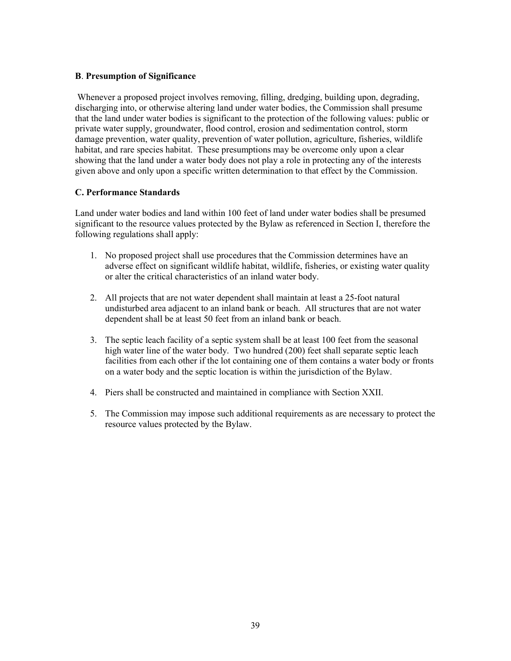# B. Presumption of Significance

 Whenever a proposed project involves removing, filling, dredging, building upon, degrading, discharging into, or otherwise altering land under water bodies, the Commission shall presume that the land under water bodies is significant to the protection of the following values: public or private water supply, groundwater, flood control, erosion and sedimentation control, storm damage prevention, water quality, prevention of water pollution, agriculture, fisheries, wildlife habitat, and rare species habitat. These presumptions may be overcome only upon a clear showing that the land under a water body does not play a role in protecting any of the interests given above and only upon a specific written determination to that effect by the Commission.

### C. Performance Standards

Land under water bodies and land within 100 feet of land under water bodies shall be presumed significant to the resource values protected by the Bylaw as referenced in Section I, therefore the following regulations shall apply:

- 1. No proposed project shall use procedures that the Commission determines have an adverse effect on significant wildlife habitat, wildlife, fisheries, or existing water quality or alter the critical characteristics of an inland water body.
- 2. All projects that are not water dependent shall maintain at least a 25-foot natural undisturbed area adjacent to an inland bank or beach. All structures that are not water dependent shall be at least 50 feet from an inland bank or beach.
- 3. The septic leach facility of a septic system shall be at least 100 feet from the seasonal high water line of the water body. Two hundred (200) feet shall separate septic leach facilities from each other if the lot containing one of them contains a water body or fronts on a water body and the septic location is within the jurisdiction of the Bylaw.
- 4. Piers shall be constructed and maintained in compliance with Section XXII.
- 5. The Commission may impose such additional requirements as are necessary to protect the resource values protected by the Bylaw.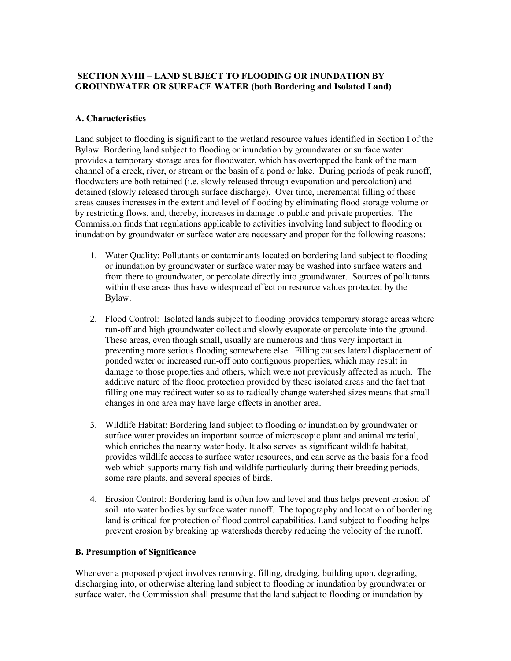# SECTION XVIII – LAND SUBJECT TO FLOODING OR INUNDATION BY GROUNDWATER OR SURFACE WATER (both Bordering and Isolated Land)

#### A. Characteristics

Land subject to flooding is significant to the wetland resource values identified in Section I of the Bylaw. Bordering land subject to flooding or inundation by groundwater or surface water provides a temporary storage area for floodwater, which has overtopped the bank of the main channel of a creek, river, or stream or the basin of a pond or lake. During periods of peak runoff, floodwaters are both retained (i.e. slowly released through evaporation and percolation) and detained (slowly released through surface discharge). Over time, incremental filling of these areas causes increases in the extent and level of flooding by eliminating flood storage volume or by restricting flows, and, thereby, increases in damage to public and private properties. The Commission finds that regulations applicable to activities involving land subject to flooding or inundation by groundwater or surface water are necessary and proper for the following reasons:

- 1. Water Quality: Pollutants or contaminants located on bordering land subject to flooding or inundation by groundwater or surface water may be washed into surface waters and from there to groundwater, or percolate directly into groundwater. Sources of pollutants within these areas thus have widespread effect on resource values protected by the Bylaw.
- 2. Flood Control: Isolated lands subject to flooding provides temporary storage areas where run-off and high groundwater collect and slowly evaporate or percolate into the ground. These areas, even though small, usually are numerous and thus very important in preventing more serious flooding somewhere else. Filling causes lateral displacement of ponded water or increased run-off onto contiguous properties, which may result in damage to those properties and others, which were not previously affected as much. The additive nature of the flood protection provided by these isolated areas and the fact that filling one may redirect water so as to radically change watershed sizes means that small changes in one area may have large effects in another area.
- 3. Wildlife Habitat: Bordering land subject to flooding or inundation by groundwater or surface water provides an important source of microscopic plant and animal material, which enriches the nearby water body. It also serves as significant wildlife habitat, provides wildlife access to surface water resources, and can serve as the basis for a food web which supports many fish and wildlife particularly during their breeding periods, some rare plants, and several species of birds.
- 4. Erosion Control: Bordering land is often low and level and thus helps prevent erosion of soil into water bodies by surface water runoff. The topography and location of bordering land is critical for protection of flood control capabilities. Land subject to flooding helps prevent erosion by breaking up watersheds thereby reducing the velocity of the runoff.

#### B. Presumption of Significance

Whenever a proposed project involves removing, filling, dredging, building upon, degrading, discharging into, or otherwise altering land subject to flooding or inundation by groundwater or surface water, the Commission shall presume that the land subject to flooding or inundation by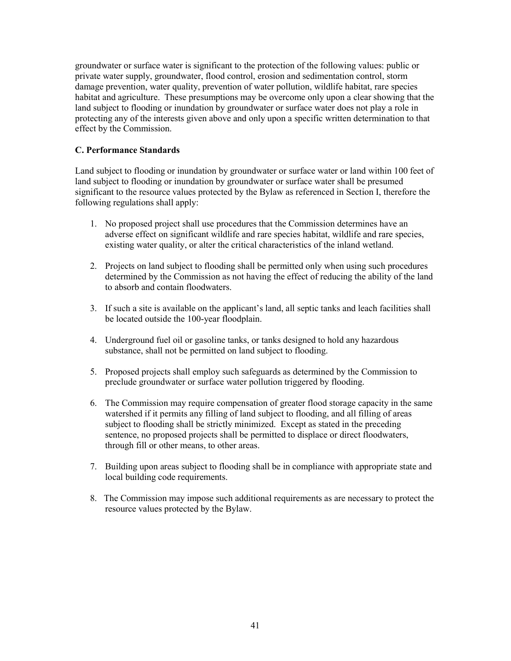groundwater or surface water is significant to the protection of the following values: public or private water supply, groundwater, flood control, erosion and sedimentation control, storm damage prevention, water quality, prevention of water pollution, wildlife habitat, rare species habitat and agriculture. These presumptions may be overcome only upon a clear showing that the land subject to flooding or inundation by groundwater or surface water does not play a role in protecting any of the interests given above and only upon a specific written determination to that effect by the Commission.

### C. Performance Standards

Land subject to flooding or inundation by groundwater or surface water or land within 100 feet of land subject to flooding or inundation by groundwater or surface water shall be presumed significant to the resource values protected by the Bylaw as referenced in Section I, therefore the following regulations shall apply:

- 1. No proposed project shall use procedures that the Commission determines have an adverse effect on significant wildlife and rare species habitat, wildlife and rare species, existing water quality, or alter the critical characteristics of the inland wetland.
- 2. Projects on land subject to flooding shall be permitted only when using such procedures determined by the Commission as not having the effect of reducing the ability of the land to absorb and contain floodwaters.
- 3. If such a site is available on the applicant's land, all septic tanks and leach facilities shall be located outside the 100-year floodplain.
- 4. Underground fuel oil or gasoline tanks, or tanks designed to hold any hazardous substance, shall not be permitted on land subject to flooding.
- 5. Proposed projects shall employ such safeguards as determined by the Commission to preclude groundwater or surface water pollution triggered by flooding.
- 6. The Commission may require compensation of greater flood storage capacity in the same watershed if it permits any filling of land subject to flooding, and all filling of areas subject to flooding shall be strictly minimized. Except as stated in the preceding sentence, no proposed projects shall be permitted to displace or direct floodwaters, through fill or other means, to other areas.
- 7. Building upon areas subject to flooding shall be in compliance with appropriate state and local building code requirements.
- 8. The Commission may impose such additional requirements as are necessary to protect the resource values protected by the Bylaw.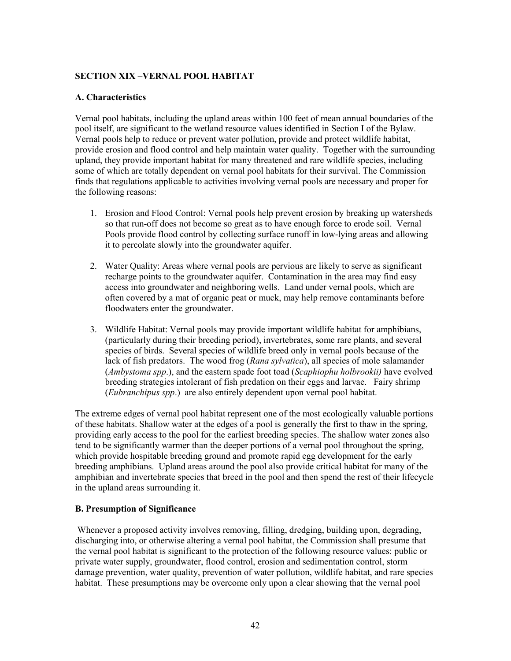# SECTION XIX –VERNAL POOL HABITAT

# A. Characteristics

Vernal pool habitats, including the upland areas within 100 feet of mean annual boundaries of the pool itself, are significant to the wetland resource values identified in Section I of the Bylaw. Vernal pools help to reduce or prevent water pollution, provide and protect wildlife habitat, provide erosion and flood control and help maintain water quality. Together with the surrounding upland, they provide important habitat for many threatened and rare wildlife species, including some of which are totally dependent on vernal pool habitats for their survival. The Commission finds that regulations applicable to activities involving vernal pools are necessary and proper for the following reasons:

- 1. Erosion and Flood Control: Vernal pools help prevent erosion by breaking up watersheds so that run-off does not become so great as to have enough force to erode soil. Vernal Pools provide flood control by collecting surface runoff in low-lying areas and allowing it to percolate slowly into the groundwater aquifer.
- 2. Water Quality: Areas where vernal pools are pervious are likely to serve as significant recharge points to the groundwater aquifer. Contamination in the area may find easy access into groundwater and neighboring wells. Land under vernal pools, which are often covered by a mat of organic peat or muck, may help remove contaminants before floodwaters enter the groundwater.
- 3. Wildlife Habitat: Vernal pools may provide important wildlife habitat for amphibians, (particularly during their breeding period), invertebrates, some rare plants, and several species of birds. Several species of wildlife breed only in vernal pools because of the lack of fish predators. The wood frog (Rana sylvatica), all species of mole salamander (Ambystoma spp.), and the eastern spade foot toad (Scaphiophu holbrookii) have evolved breeding strategies intolerant of fish predation on their eggs and larvae. Fairy shrimp (Eubranchipus spp.) are also entirely dependent upon vernal pool habitat.

The extreme edges of vernal pool habitat represent one of the most ecologically valuable portions of these habitats. Shallow water at the edges of a pool is generally the first to thaw in the spring, providing early access to the pool for the earliest breeding species. The shallow water zones also tend to be significantly warmer than the deeper portions of a vernal pool throughout the spring, which provide hospitable breeding ground and promote rapid egg development for the early breeding amphibians. Upland areas around the pool also provide critical habitat for many of the amphibian and invertebrate species that breed in the pool and then spend the rest of their lifecycle in the upland areas surrounding it.

# B. Presumption of Significance

Whenever a proposed activity involves removing, filling, dredging, building upon, degrading, discharging into, or otherwise altering a vernal pool habitat, the Commission shall presume that the vernal pool habitat is significant to the protection of the following resource values: public or private water supply, groundwater, flood control, erosion and sedimentation control, storm damage prevention, water quality, prevention of water pollution, wildlife habitat, and rare species habitat. These presumptions may be overcome only upon a clear showing that the vernal pool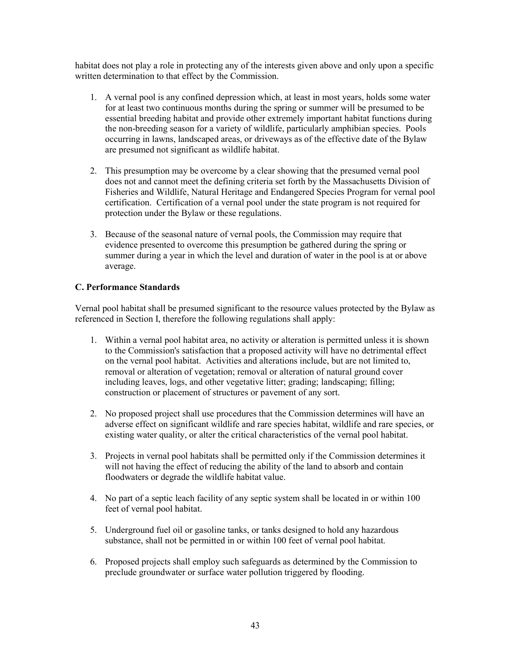habitat does not play a role in protecting any of the interests given above and only upon a specific written determination to that effect by the Commission.

- 1. A vernal pool is any confined depression which, at least in most years, holds some water for at least two continuous months during the spring or summer will be presumed to be essential breeding habitat and provide other extremely important habitat functions during the non-breeding season for a variety of wildlife, particularly amphibian species. Pools occurring in lawns, landscaped areas, or driveways as of the effective date of the Bylaw are presumed not significant as wildlife habitat.
- 2. This presumption may be overcome by a clear showing that the presumed vernal pool does not and cannot meet the defining criteria set forth by the Massachusetts Division of Fisheries and Wildlife, Natural Heritage and Endangered Species Program for vernal pool certification. Certification of a vernal pool under the state program is not required for protection under the Bylaw or these regulations.
- 3. Because of the seasonal nature of vernal pools, the Commission may require that evidence presented to overcome this presumption be gathered during the spring or summer during a year in which the level and duration of water in the pool is at or above average.

# C. Performance Standards

Vernal pool habitat shall be presumed significant to the resource values protected by the Bylaw as referenced in Section I, therefore the following regulations shall apply:

- 1. Within a vernal pool habitat area, no activity or alteration is permitted unless it is shown to the Commission's satisfaction that a proposed activity will have no detrimental effect on the vernal pool habitat. Activities and alterations include, but are not limited to, removal or alteration of vegetation; removal or alteration of natural ground cover including leaves, logs, and other vegetative litter; grading; landscaping; filling; construction or placement of structures or pavement of any sort.
- 2. No proposed project shall use procedures that the Commission determines will have an adverse effect on significant wildlife and rare species habitat, wildlife and rare species, or existing water quality, or alter the critical characteristics of the vernal pool habitat.
- 3. Projects in vernal pool habitats shall be permitted only if the Commission determines it will not having the effect of reducing the ability of the land to absorb and contain floodwaters or degrade the wildlife habitat value.
- 4. No part of a septic leach facility of any septic system shall be located in or within 100 feet of vernal pool habitat.
- 5. Underground fuel oil or gasoline tanks, or tanks designed to hold any hazardous substance, shall not be permitted in or within 100 feet of vernal pool habitat.
- 6. Proposed projects shall employ such safeguards as determined by the Commission to preclude groundwater or surface water pollution triggered by flooding.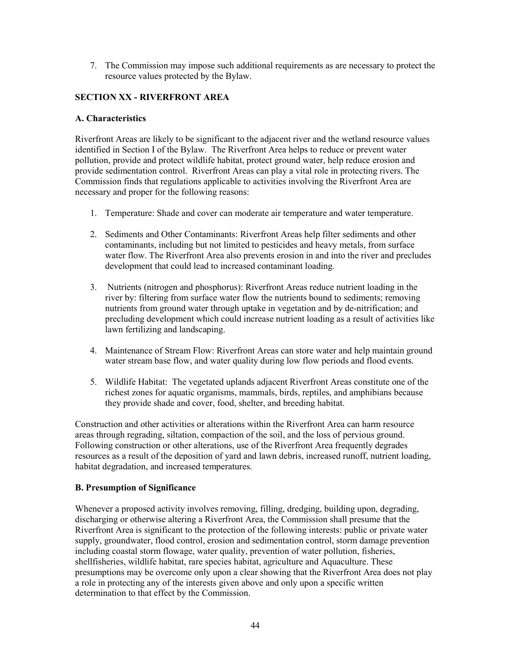7. The Commission may impose such additional requirements as are necessary to protect the resource values protected by the Bylaw.

# SECTION XX - RIVERFRONT AREA

#### A. Characteristics

Riverfront Areas are likely to be significant to the adjacent river and the wetland resource values identified in Section I of the Bylaw. The Riverfront Area helps to reduce or prevent water pollution, provide and protect wildlife habitat, protect ground water, help reduce erosion and provide sedimentation control. Riverfront Areas can play a vital role in protecting rivers. The Commission finds that regulations applicable to activities involving the Riverfront Area are necessary and proper for the following reasons:

- 1. Temperature: Shade and cover can moderate air temperature and water temperature.
- 2. Sediments and Other Contaminants: Riverfront Areas help filter sediments and other contaminants, including but not limited to pesticides and heavy metals, from surface water flow. The Riverfront Area also prevents erosion in and into the river and precludes development that could lead to increased contaminant loading.
- 3. Nutrients (nitrogen and phosphorus): Riverfront Areas reduce nutrient loading in the river by: filtering from surface water flow the nutrients bound to sediments; removing nutrients from ground water through uptake in vegetation and by de-nitrification; and precluding development which could increase nutrient loading as a result of activities like lawn fertilizing and landscaping.
- 4. Maintenance of Stream Flow: Riverfront Areas can store water and help maintain ground water stream base flow, and water quality during low flow periods and flood events.
- 5. Wildlife Habitat: The vegetated uplands adjacent Riverfront Areas constitute one of the richest zones for aquatic organisms, mammals, birds, reptiles, and amphibians because they provide shade and cover, food, shelter, and breeding habitat.

Construction and other activities or alterations within the Riverfront Area can harm resource areas through regrading, siltation, compaction of the soil, and the loss of pervious ground. Following construction or other alterations, use of the Riverfront Area frequently degrades resources as a result of the deposition of yard and lawn debris, increased runoff, nutrient loading, habitat degradation, and increased temperatures.

# B. Presumption of Significance

Whenever a proposed activity involves removing, filling, dredging, building upon, degrading, discharging or otherwise altering a Riverfront Area, the Commission shall presume that the Riverfront Area is significant to the protection of the following interests: public or private water supply, groundwater, flood control, erosion and sedimentation control, storm damage prevention including coastal storm flowage, water quality, prevention of water pollution, fisheries, shellfisheries, wildlife habitat, rare species habitat, agriculture and Aquaculture. These presumptions may be overcome only upon a clear showing that the Riverfront Area does not play a role in protecting any of the interests given above and only upon a specific written determination to that effect by the Commission.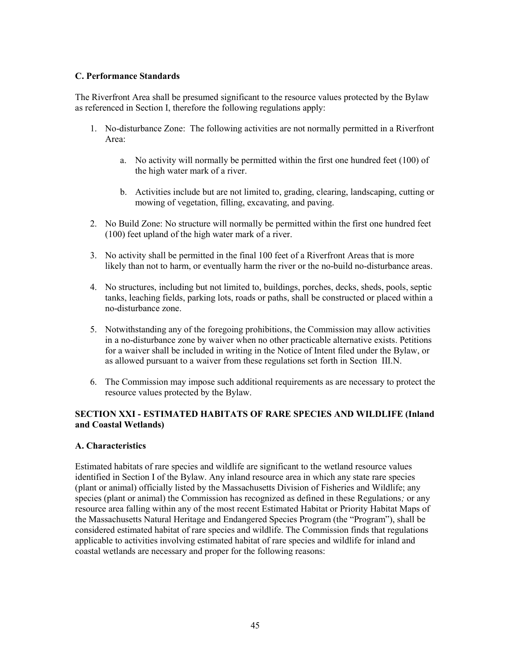### C. Performance Standards

The Riverfront Area shall be presumed significant to the resource values protected by the Bylaw as referenced in Section I, therefore the following regulations apply:

- 1. No-disturbance Zone: The following activities are not normally permitted in a Riverfront Area:
	- a. No activity will normally be permitted within the first one hundred feet (100) of the high water mark of a river.
	- b. Activities include but are not limited to, grading, clearing, landscaping, cutting or mowing of vegetation, filling, excavating, and paving.
- 2. No Build Zone: No structure will normally be permitted within the first one hundred feet (100) feet upland of the high water mark of a river.
- 3. No activity shall be permitted in the final 100 feet of a Riverfront Areas that is more likely than not to harm, or eventually harm the river or the no-build no-disturbance areas.
- 4. No structures, including but not limited to, buildings, porches, decks, sheds, pools, septic tanks, leaching fields, parking lots, roads or paths, shall be constructed or placed within a no-disturbance zone.
- 5. Notwithstanding any of the foregoing prohibitions, the Commission may allow activities in a no-disturbance zone by waiver when no other practicable alternative exists. Petitions for a waiver shall be included in writing in the Notice of Intent filed under the Bylaw, or as allowed pursuant to a waiver from these regulations set forth in Section III.N.
- 6. The Commission may impose such additional requirements as are necessary to protect the resource values protected by the Bylaw.

# SECTION XXI - ESTIMATED HABITATS OF RARE SPECIES AND WILDLIFE (Inland and Coastal Wetlands)

#### A. Characteristics

Estimated habitats of rare species and wildlife are significant to the wetland resource values identified in Section I of the Bylaw. Any inland resource area in which any state rare species (plant or animal) officially listed by the Massachusetts Division of Fisheries and Wildlife; any species (plant or animal) the Commission has recognized as defined in these Regulations; or any resource area falling within any of the most recent Estimated Habitat or Priority Habitat Maps of the Massachusetts Natural Heritage and Endangered Species Program (the "Program"), shall be considered estimated habitat of rare species and wildlife. The Commission finds that regulations applicable to activities involving estimated habitat of rare species and wildlife for inland and coastal wetlands are necessary and proper for the following reasons: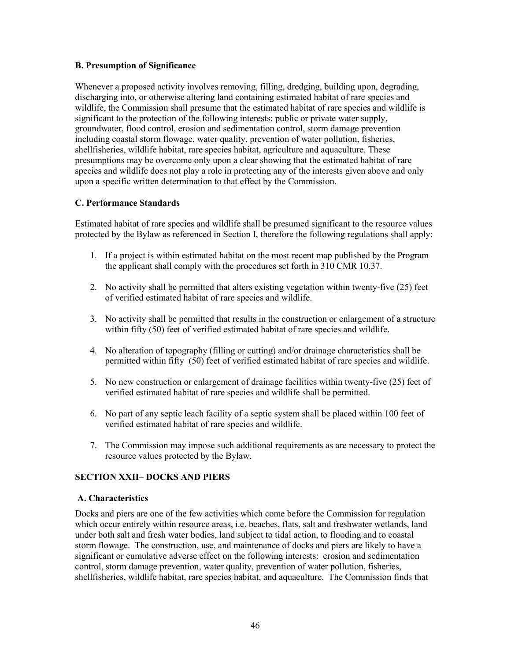#### B. Presumption of Significance

Whenever a proposed activity involves removing, filling, dredging, building upon, degrading, discharging into, or otherwise altering land containing estimated habitat of rare species and wildlife, the Commission shall presume that the estimated habitat of rare species and wildlife is significant to the protection of the following interests: public or private water supply, groundwater, flood control, erosion and sedimentation control, storm damage prevention including coastal storm flowage, water quality, prevention of water pollution, fisheries, shellfisheries, wildlife habitat, rare species habitat, agriculture and aquaculture. These presumptions may be overcome only upon a clear showing that the estimated habitat of rare species and wildlife does not play a role in protecting any of the interests given above and only upon a specific written determination to that effect by the Commission.

### C. Performance Standards

Estimated habitat of rare species and wildlife shall be presumed significant to the resource values protected by the Bylaw as referenced in Section I, therefore the following regulations shall apply:

- 1. If a project is within estimated habitat on the most recent map published by the Program the applicant shall comply with the procedures set forth in 310 CMR 10.37.
- 2. No activity shall be permitted that alters existing vegetation within twenty-five (25) feet of verified estimated habitat of rare species and wildlife.
- 3. No activity shall be permitted that results in the construction or enlargement of a structure within fifty (50) feet of verified estimated habitat of rare species and wildlife.
- 4. No alteration of topography (filling or cutting) and/or drainage characteristics shall be permitted within fifty (50) feet of verified estimated habitat of rare species and wildlife.
- 5. No new construction or enlargement of drainage facilities within twenty-five (25) feet of verified estimated habitat of rare species and wildlife shall be permitted.
- 6. No part of any septic leach facility of a septic system shall be placed within 100 feet of verified estimated habitat of rare species and wildlife.
- 7. The Commission may impose such additional requirements as are necessary to protect the resource values protected by the Bylaw.

# SECTION XXII– DOCKS AND PIERS

#### A. Characteristics

Docks and piers are one of the few activities which come before the Commission for regulation which occur entirely within resource areas, i.e. beaches, flats, salt and freshwater wetlands, land under both salt and fresh water bodies, land subject to tidal action, to flooding and to coastal storm flowage. The construction, use, and maintenance of docks and piers are likely to have a significant or cumulative adverse effect on the following interests: erosion and sedimentation control, storm damage prevention, water quality, prevention of water pollution, fisheries, shellfisheries, wildlife habitat, rare species habitat, and aquaculture. The Commission finds that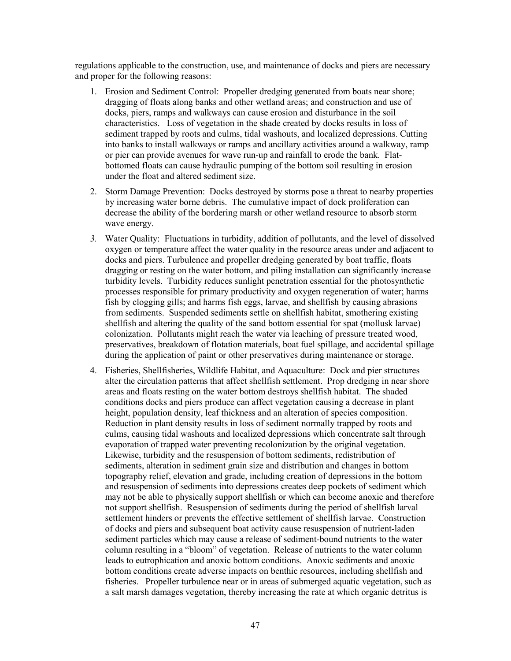regulations applicable to the construction, use, and maintenance of docks and piers are necessary and proper for the following reasons:

- 1. Erosion and Sediment Control: Propeller dredging generated from boats near shore; dragging of floats along banks and other wetland areas; and construction and use of docks, piers, ramps and walkways can cause erosion and disturbance in the soil characteristics. Loss of vegetation in the shade created by docks results in loss of sediment trapped by roots and culms, tidal washouts, and localized depressions. Cutting into banks to install walkways or ramps and ancillary activities around a walkway, ramp or pier can provide avenues for wave run-up and rainfall to erode the bank. Flatbottomed floats can cause hydraulic pumping of the bottom soil resulting in erosion under the float and altered sediment size.
- 2. Storm Damage Prevention: Docks destroyed by storms pose a threat to nearby properties by increasing water borne debris. The cumulative impact of dock proliferation can decrease the ability of the bordering marsh or other wetland resource to absorb storm wave energy.
- 3. Water Quality: Fluctuations in turbidity, addition of pollutants, and the level of dissolved oxygen or temperature affect the water quality in the resource areas under and adjacent to docks and piers. Turbulence and propeller dredging generated by boat traffic, floats dragging or resting on the water bottom, and piling installation can significantly increase turbidity levels. Turbidity reduces sunlight penetration essential for the photosynthetic processes responsible for primary productivity and oxygen regeneration of water; harms fish by clogging gills; and harms fish eggs, larvae, and shellfish by causing abrasions from sediments. Suspended sediments settle on shellfish habitat, smothering existing shellfish and altering the quality of the sand bottom essential for spat (mollusk larvae) colonization. Pollutants might reach the water via leaching of pressure treated wood, preservatives, breakdown of flotation materials, boat fuel spillage, and accidental spillage during the application of paint or other preservatives during maintenance or storage.
- 4. Fisheries, Shellfisheries, Wildlife Habitat, and Aquaculture: Dock and pier structures alter the circulation patterns that affect shellfish settlement. Prop dredging in near shore areas and floats resting on the water bottom destroys shellfish habitat. The shaded conditions docks and piers produce can affect vegetation causing a decrease in plant height, population density, leaf thickness and an alteration of species composition. Reduction in plant density results in loss of sediment normally trapped by roots and culms, causing tidal washouts and localized depressions which concentrate salt through evaporation of trapped water preventing recolonization by the original vegetation. Likewise, turbidity and the resuspension of bottom sediments, redistribution of sediments, alteration in sediment grain size and distribution and changes in bottom topography relief, elevation and grade, including creation of depressions in the bottom and resuspension of sediments into depressions creates deep pockets of sediment which may not be able to physically support shellfish or which can become anoxic and therefore not support shellfish. Resuspension of sediments during the period of shellfish larval settlement hinders or prevents the effective settlement of shellfish larvae. Construction of docks and piers and subsequent boat activity cause resuspension of nutrient-laden sediment particles which may cause a release of sediment-bound nutrients to the water column resulting in a "bloom" of vegetation. Release of nutrients to the water column leads to eutrophication and anoxic bottom conditions. Anoxic sediments and anoxic bottom conditions create adverse impacts on benthic resources, including shellfish and fisheries. Propeller turbulence near or in areas of submerged aquatic vegetation, such as a salt marsh damages vegetation, thereby increasing the rate at which organic detritus is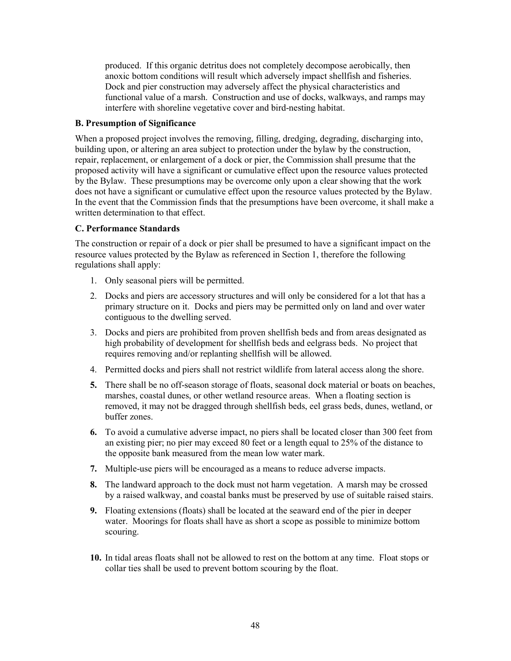produced. If this organic detritus does not completely decompose aerobically, then anoxic bottom conditions will result which adversely impact shellfish and fisheries. Dock and pier construction may adversely affect the physical characteristics and functional value of a marsh. Construction and use of docks, walkways, and ramps may interfere with shoreline vegetative cover and bird-nesting habitat.

#### B. Presumption of Significance

When a proposed project involves the removing, filling, dredging, degrading, discharging into, building upon, or altering an area subject to protection under the bylaw by the construction, repair, replacement, or enlargement of a dock or pier, the Commission shall presume that the proposed activity will have a significant or cumulative effect upon the resource values protected by the Bylaw. These presumptions may be overcome only upon a clear showing that the work does not have a significant or cumulative effect upon the resource values protected by the Bylaw. In the event that the Commission finds that the presumptions have been overcome, it shall make a written determination to that effect.

#### C. Performance Standards

The construction or repair of a dock or pier shall be presumed to have a significant impact on the resource values protected by the Bylaw as referenced in Section 1, therefore the following regulations shall apply:

- 1. Only seasonal piers will be permitted.
- 2. Docks and piers are accessory structures and will only be considered for a lot that has a primary structure on it. Docks and piers may be permitted only on land and over water contiguous to the dwelling served.
- 3. Docks and piers are prohibited from proven shellfish beds and from areas designated as high probability of development for shellfish beds and eelgrass beds. No project that requires removing and/or replanting shellfish will be allowed.
- 4. Permitted docks and piers shall not restrict wildlife from lateral access along the shore.
- 5. There shall be no off-season storage of floats, seasonal dock material or boats on beaches, marshes, coastal dunes, or other wetland resource areas. When a floating section is removed, it may not be dragged through shellfish beds, eel grass beds, dunes, wetland, or buffer zones.
- 6. To avoid a cumulative adverse impact, no piers shall be located closer than 300 feet from an existing pier; no pier may exceed 80 feet or a length equal to 25% of the distance to the opposite bank measured from the mean low water mark.
- 7. Multiple-use piers will be encouraged as a means to reduce adverse impacts.
- 8. The landward approach to the dock must not harm vegetation. A marsh may be crossed by a raised walkway, and coastal banks must be preserved by use of suitable raised stairs.
- 9. Floating extensions (floats) shall be located at the seaward end of the pier in deeper water. Moorings for floats shall have as short a scope as possible to minimize bottom scouring.
- 10. In tidal areas floats shall not be allowed to rest on the bottom at any time. Float stops or collar ties shall be used to prevent bottom scouring by the float.